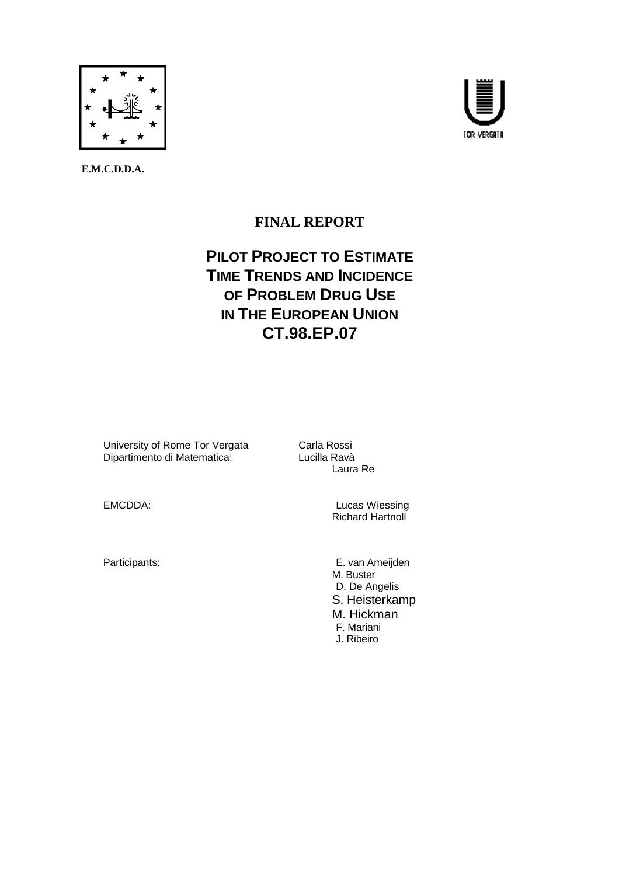

 **E.M.C.D.D.A.** 



# **FINAL REPORT**

# **PILOT PROJECT TO ESTIMATE TIME TRENDS AND INCIDENCE OF PROBLEM DRUG USE IN THE EUROPEAN UNION CT.98.EP.07**

University of Rome Tor Vergata<br>
Dipartimento di Matematica: 
Lucilla Ravà Dipartimento di Matematica:

Laura Re

EMCDDA: Lucas Wiessing Richard Hartnoll

Participants: E. van Ameijden M. Buster D. De Angelis S. Heisterkamp M. Hickman F. Mariani J. Ribeiro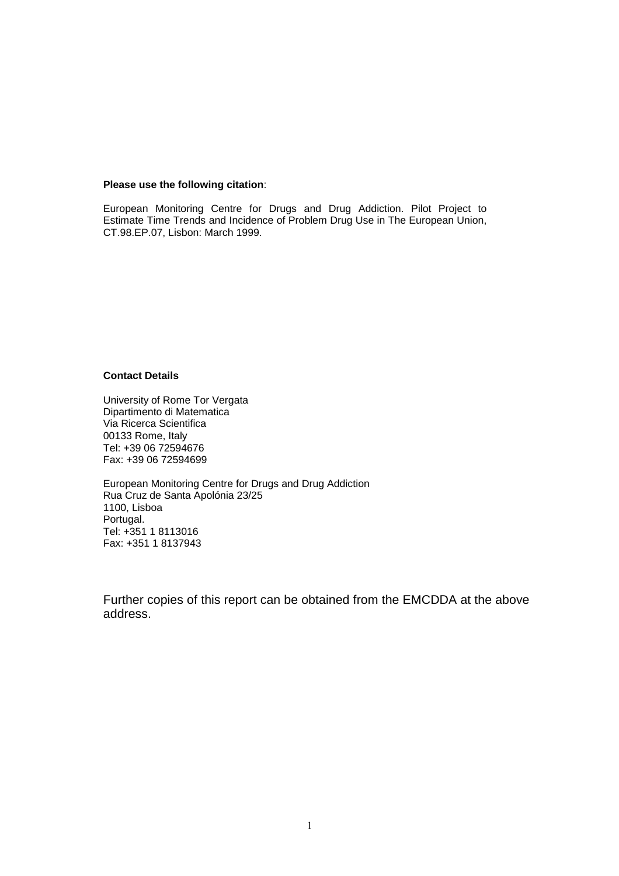#### **Please use the following citation**:

European Monitoring Centre for Drugs and Drug Addiction. Pilot Project to Estimate Time Trends and Incidence of Problem Drug Use in The European Union, CT.98.EP.07, Lisbon: March 1999.

#### **Contact Details**

University of Rome Tor Vergata Dipartimento di Matematica Via Ricerca Scientifica 00133 Rome, Italy Tel: +39 06 72594676 Fax: +39 06 72594699

European Monitoring Centre for Drugs and Drug Addiction Rua Cruz de Santa Apolónia 23/25 1100, Lisboa Portugal. Tel: +351 1 8113016 Fax: +351 1 8137943

Further copies of this report can be obtained from the EMCDDA at the above address.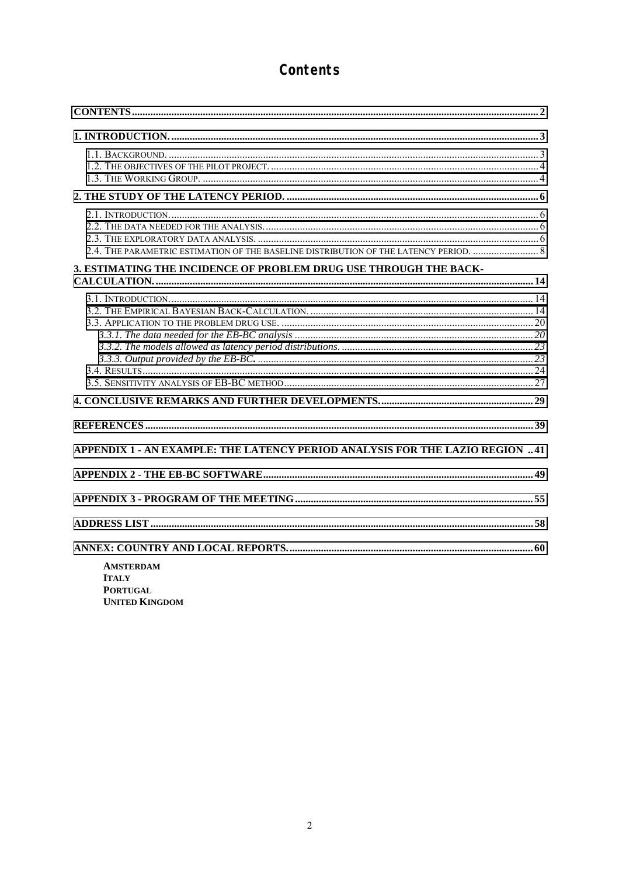# Contents

| 2.4. THE PARAMETRIC ESTIMATION OF THE BASELINE DISTRIBUTION OF THE LATENCY PERIOD.  8 |  |
|---------------------------------------------------------------------------------------|--|
| 3. ESTIMATING THE INCIDENCE OF PROBLEM DRUG USE THROUGH THE BACK-                     |  |
|                                                                                       |  |
|                                                                                       |  |
| APPENDIX 1 - AN EXAMPLE: THE LATENCY PERIOD ANALYSIS FOR THE LAZIO REGION 41          |  |
|                                                                                       |  |
|                                                                                       |  |
| <b>AMSTERDAM</b><br><b>ITALY</b><br><b>PODTILCAL</b>                                  |  |

**PORTUGAL UNITED KINGDOM**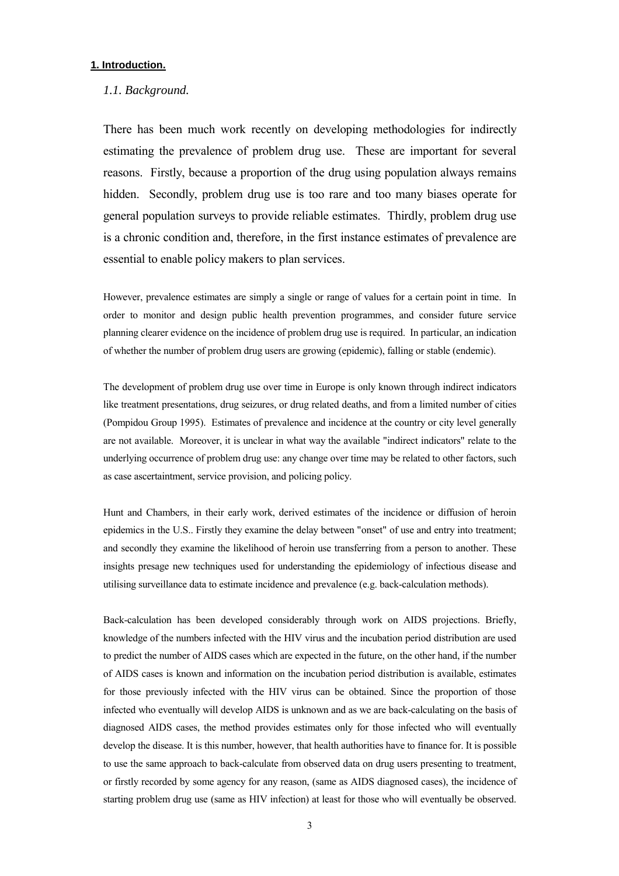### <span id="page-3-0"></span>**1. Introduction.**

#### *1.1. Background.*

There has been much work recently on developing methodologies for indirectly estimating the prevalence of problem drug use. These are important for several reasons. Firstly, because a proportion of the drug using population always remains hidden. Secondly, problem drug use is too rare and too many biases operate for general population surveys to provide reliable estimates. Thirdly, problem drug use is a chronic condition and, therefore, in the first instance estimates of prevalence are essential to enable policy makers to plan services.

However, prevalence estimates are simply a single or range of values for a certain point in time. In order to monitor and design public health prevention programmes, and consider future service planning clearer evidence on the incidence of problem drug use is required. In particular, an indication of whether the number of problem drug users are growing (epidemic), falling or stable (endemic).

The development of problem drug use over time in Europe is only known through indirect indicators like treatment presentations, drug seizures, or drug related deaths, and from a limited number of cities (Pompidou Group 1995). Estimates of prevalence and incidence at the country or city level generally are not available. Moreover, it is unclear in what way the available "indirect indicators" relate to the underlying occurrence of problem drug use: any change over time may be related to other factors, such as case ascertaintment, service provision, and policing policy.

Hunt and Chambers, in their early work, derived estimates of the incidence or diffusion of heroin epidemics in the U.S.. Firstly they examine the delay between "onset" of use and entry into treatment; and secondly they examine the likelihood of heroin use transferring from a person to another. These insights presage new techniques used for understanding the epidemiology of infectious disease and utilising surveillance data to estimate incidence and prevalence (e.g. back-calculation methods).

Back-calculation has been developed considerably through work on AIDS projections. Briefly, knowledge of the numbers infected with the HIV virus and the incubation period distribution are used to predict the number of AIDS cases which are expected in the future, on the other hand, if the number of AIDS cases is known and information on the incubation period distribution is available, estimates for those previously infected with the HIV virus can be obtained. Since the proportion of those infected who eventually will develop AIDS is unknown and as we are back-calculating on the basis of diagnosed AIDS cases, the method provides estimates only for those infected who will eventually develop the disease. It is this number, however, that health authorities have to finance for. It is possible to use the same approach to back-calculate from observed data on drug users presenting to treatment, or firstly recorded by some agency for any reason, (same as AIDS diagnosed cases), the incidence of starting problem drug use (same as HIV infection) at least for those who will eventually be observed.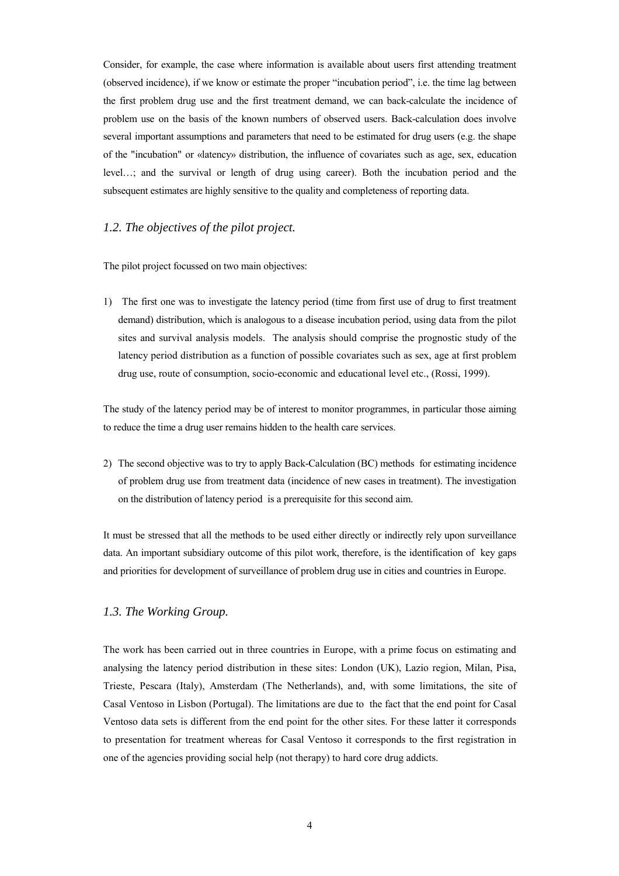<span id="page-4-0"></span>Consider, for example, the case where information is available about users first attending treatment (observed incidence), if we know or estimate the proper "incubation period", i.e. the time lag between the first problem drug use and the first treatment demand, we can back-calculate the incidence of problem use on the basis of the known numbers of observed users. Back-calculation does involve several important assumptions and parameters that need to be estimated for drug users (e.g. the shape of the "incubation" or «latency» distribution, the influence of covariates such as age, sex, education level...; and the survival or length of drug using career). Both the incubation period and the subsequent estimates are highly sensitive to the quality and completeness of reporting data.

# *1.2. The objectives of the pilot project.*

The pilot project focussed on two main objectives:

1) The first one was to investigate the latency period (time from first use of drug to first treatment demand) distribution, which is analogous to a disease incubation period, using data from the pilot sites and survival analysis models. The analysis should comprise the prognostic study of the latency period distribution as a function of possible covariates such as sex, age at first problem drug use, route of consumption, socio-economic and educational level etc., (Rossi, 1999).

The study of the latency period may be of interest to monitor programmes, in particular those aiming to reduce the time a drug user remains hidden to the health care services.

2) The second objective was to try to apply Back-Calculation (BC) methods for estimating incidence of problem drug use from treatment data (incidence of new cases in treatment). The investigation on the distribution of latency period is a prerequisite for this second aim.

It must be stressed that all the methods to be used either directly or indirectly rely upon surveillance data. An important subsidiary outcome of this pilot work, therefore, is the identification of key gaps and priorities for development of surveillance of problem drug use in cities and countries in Europe.

#### *1.3. The Working Group.*

The work has been carried out in three countries in Europe, with a prime focus on estimating and analysing the latency period distribution in these sites: London (UK), Lazio region, Milan, Pisa, Trieste, Pescara (Italy), Amsterdam (The Netherlands), and, with some limitations, the site of Casal Ventoso in Lisbon (Portugal). The limitations are due to the fact that the end point for Casal Ventoso data sets is different from the end point for the other sites. For these latter it corresponds to presentation for treatment whereas for Casal Ventoso it corresponds to the first registration in one of the agencies providing social help (not therapy) to hard core drug addicts.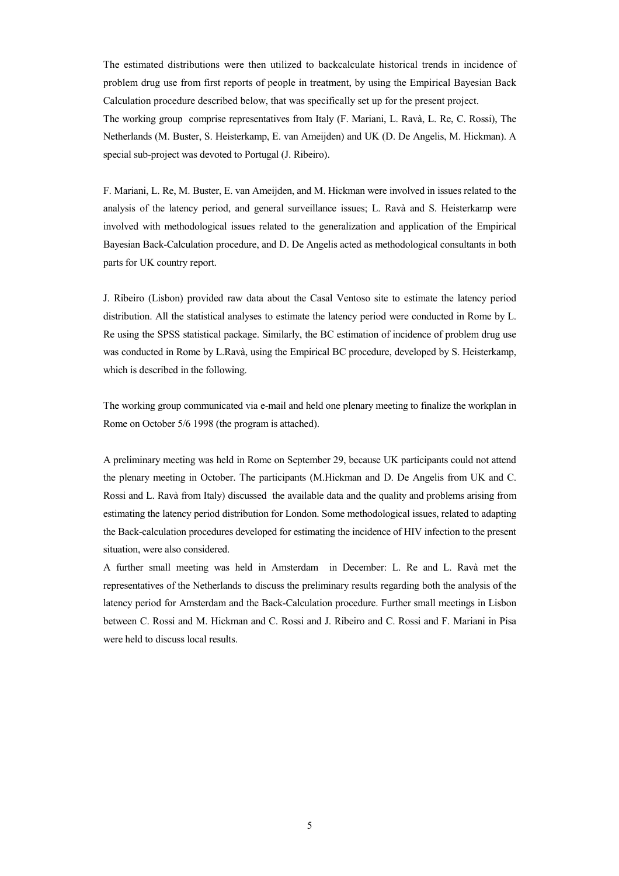The estimated distributions were then utilized to backcalculate historical trends in incidence of problem drug use from first reports of people in treatment, by using the Empirical Bayesian Back Calculation procedure described below, that was specifically set up for the present project. The working group comprise representatives from Italy (F. Mariani, L. Ravà, L. Re, C. Rossi), The Netherlands (M. Buster, S. Heisterkamp, E. van Ameijden) and UK (D. De Angelis, M. Hickman). A special sub-project was devoted to Portugal (J. Ribeiro).

F. Mariani, L. Re, M. Buster, E. van Ameijden, and M. Hickman were involved in issues related to the analysis of the latency period, and general surveillance issues; L. Ravà and S. Heisterkamp were involved with methodological issues related to the generalization and application of the Empirical Bayesian Back-Calculation procedure, and D. De Angelis acted as methodological consultants in both parts for UK country report.

J. Ribeiro (Lisbon) provided raw data about the Casal Ventoso site to estimate the latency period distribution. All the statistical analyses to estimate the latency period were conducted in Rome by L. Re using the SPSS statistical package. Similarly, the BC estimation of incidence of problem drug use was conducted in Rome by L.Ravà, using the Empirical BC procedure, developed by S. Heisterkamp, which is described in the following.

The working group communicated via e-mail and held one plenary meeting to finalize the workplan in Rome on October 5/6 1998 (the program is attached).

A preliminary meeting was held in Rome on September 29, because UK participants could not attend the plenary meeting in October. The participants (M.Hickman and D. De Angelis from UK and C. Rossi and L. Ravà from Italy) discussed the available data and the quality and problems arising from estimating the latency period distribution for London. Some methodological issues, related to adapting the Back-calculation procedures developed for estimating the incidence of HIV infection to the present situation, were also considered.

A further small meeting was held in Amsterdam in December: L. Re and L. Ravà met the representatives of the Netherlands to discuss the preliminary results regarding both the analysis of the latency period for Amsterdam and the Back-Calculation procedure. Further small meetings in Lisbon between C. Rossi and M. Hickman and C. Rossi and J. Ribeiro and C. Rossi and F. Mariani in Pisa were held to discuss local results.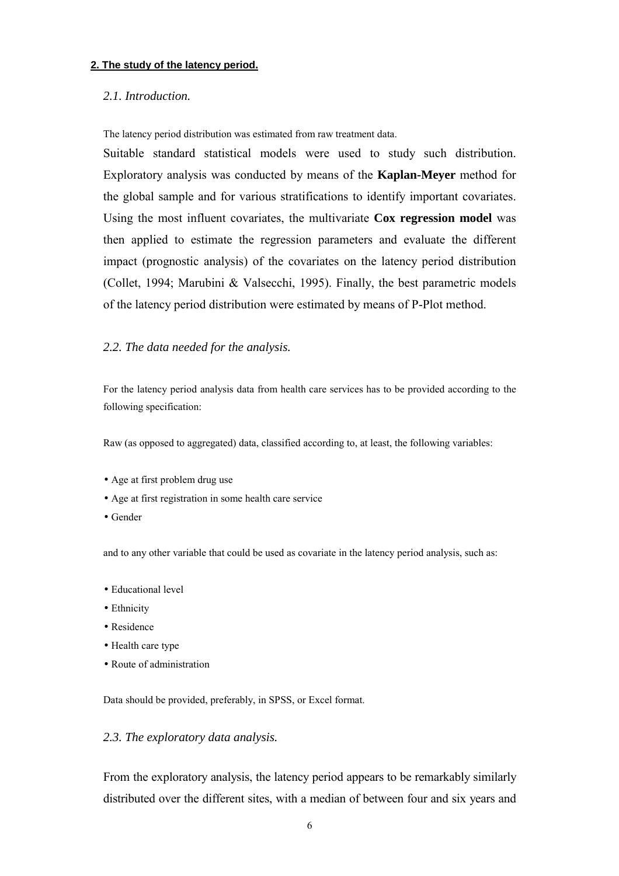# <span id="page-6-0"></span>**2. The study of the latency period.**

# *2.1. Introduction.*

The latency period distribution was estimated from raw treatment data.

Suitable standard statistical models were used to study such distribution. Exploratory analysis was conducted by means of the **Kaplan-Meyer** method for the global sample and for various stratifications to identify important covariates. Using the most influent covariates, the multivariate **Cox regression model** was then applied to estimate the regression parameters and evaluate the different impact (prognostic analysis) of the covariates on the latency period distribution (Collet, 1994; Marubini & Valsecchi, 1995). Finally, the best parametric models of the latency period distribution were estimated by means of P-Plot method.

# *2.2. The data needed for the analysis.*

For the latency period analysis data from health care services has to be provided according to the following specification:

Raw (as opposed to aggregated) data, classified according to, at least, the following variables:

- Age at first problem drug use
- Age at first registration in some health care service
- Gender

and to any other variable that could be used as covariate in the latency period analysis, such as:

- Educational level
- Ethnicity
- Residence
- Health care type
- Route of administration

Data should be provided, preferably, in SPSS, or Excel format.

# *2.3. The exploratory data analysis.*

From the exploratory analysis, the latency period appears to be remarkably similarly distributed over the different sites, with a median of between four and six years and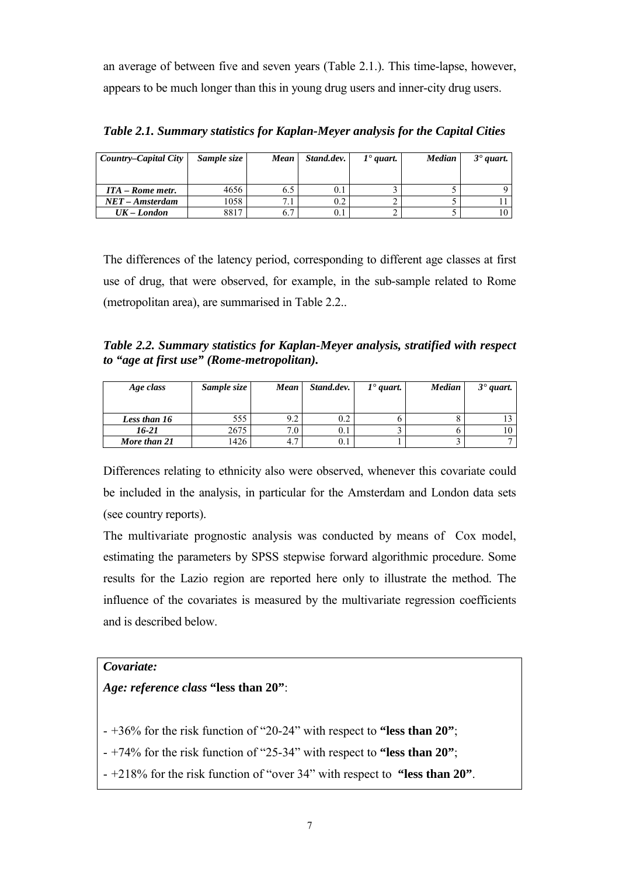an average of between five and seven years (Table 2.1.). This time-lapse, however, appears to be much longer than this in young drug users and inner-city drug users.

| Country-Capital City | Sample size | Mean | Stand.dev. | $1^{\bullet}$ quart. | <b>Median</b> | $3°$ quart. |
|----------------------|-------------|------|------------|----------------------|---------------|-------------|
|                      |             |      |            |                      |               |             |
| ITA – Rome metr.     | 4656        | 6.5  | $0.1\,$    |                      |               |             |
| $NET - Amsterdam$    | 1058        |      | 0.2        |                      |               |             |
| $UK-London$          | 8817        | 6.7  |            |                      |               |             |

*Table 2.1. Summary statistics for Kaplan-Meyer analysis for the Capital Cities* 

The differences of the latency period, corresponding to different age classes at first use of drug, that were observed, for example, in the sub-sample related to Rome (metropolitan area), are summarised in Table 2.2..

*Table 2.2. Summary statistics for Kaplan-Meyer analysis, stratified with respect to "age at first use" (Rome-metropolitan).* 

| Age class    | Sample size | Mean | Stand.dev. | $1^{\bullet}$ quart. | <b>Median</b> | $3°$ quart. |
|--------------|-------------|------|------------|----------------------|---------------|-------------|
| Less than 16 | 555         | 9.2  | 0.2        |                      |               |             |
| 16-21        | 2675        |      |            |                      |               |             |
| More than 21 | 1426        |      |            |                      |               |             |

Differences relating to ethnicity also were observed, whenever this covariate could be included in the analysis, in particular for the Amsterdam and London data sets (see country reports).

The multivariate prognostic analysis was conducted by means of Cox model, estimating the parameters by SPSS stepwise forward algorithmic procedure. Some results for the Lazio region are reported here only to illustrate the method. The influence of the covariates is measured by the multivariate regression coefficients and is described below.

# *Covariate:*

# *Age: reference class* **"less than 20"**:

- +36% for the risk function of "20-24" with respect to **"less than 20"**;
- $+74\%$  for the risk function of "25-34" with respect to **"less than 20"**;
- +218% for the risk function of "over 34" with respect to **"less than 20"**.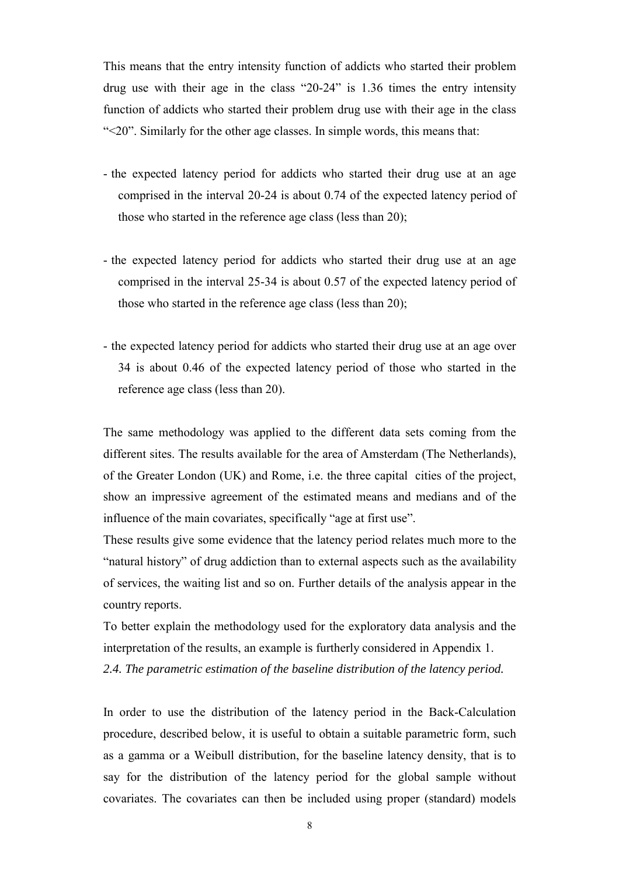<span id="page-8-0"></span>This means that the entry intensity function of addicts who started their problem drug use with their age in the class  $20-24$  is 1.36 times the entry intensity function of addicts who started their problem drug use with their age in the class ì<20î. Similarly for the other age classes. In simple words, this means that:

- the expected latency period for addicts who started their drug use at an age comprised in the interval 20-24 is about 0.74 of the expected latency period of those who started in the reference age class (less than 20);
- the expected latency period for addicts who started their drug use at an age comprised in the interval 25-34 is about 0.57 of the expected latency period of those who started in the reference age class (less than 20);
- the expected latency period for addicts who started their drug use at an age over 34 is about 0.46 of the expected latency period of those who started in the reference age class (less than 20).

The same methodology was applied to the different data sets coming from the different sites. The results available for the area of Amsterdam (The Netherlands), of the Greater London (UK) and Rome, i.e. the three capital cities of the project, show an impressive agreement of the estimated means and medians and of the influence of the main covariates, specifically "age at first use".

These results give some evidence that the latency period relates much more to the "natural history" of drug addiction than to external aspects such as the availability of services, the waiting list and so on. Further details of the analysis appear in the country reports.

To better explain the methodology used for the exploratory data analysis and the interpretation of the results, an example is furtherly considered in Appendix 1. *2.4. The parametric estimation of the baseline distribution of the latency period.* 

In order to use the distribution of the latency period in the Back-Calculation procedure, described below, it is useful to obtain a suitable parametric form, such as a gamma or a Weibull distribution, for the baseline latency density, that is to say for the distribution of the latency period for the global sample without covariates. The covariates can then be included using proper (standard) models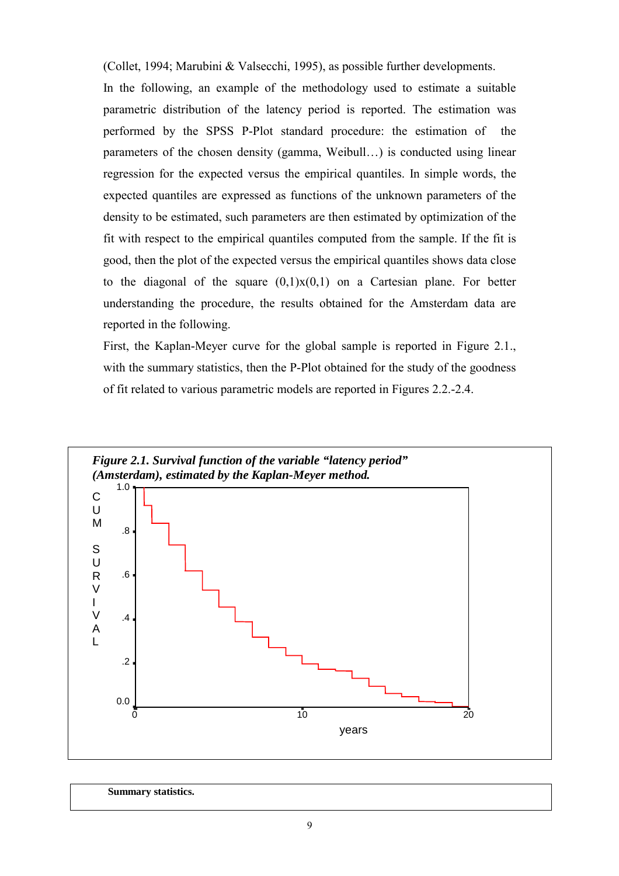(Collet, 1994; Marubini & Valsecchi, 1995), as possible further developments.

In the following, an example of the methodology used to estimate a suitable parametric distribution of the latency period is reported. The estimation was performed by the SPSS P-Plot standard procedure: the estimation of the parameters of the chosen density (gamma, Weibull...) is conducted using linear regression for the expected versus the empirical quantiles. In simple words, the expected quantiles are expressed as functions of the unknown parameters of the density to be estimated, such parameters are then estimated by optimization of the fit with respect to the empirical quantiles computed from the sample. If the fit is good, then the plot of the expected versus the empirical quantiles shows data close to the diagonal of the square  $(0,1)x(0,1)$  on a Cartesian plane. For better understanding the procedure, the results obtained for the Amsterdam data are reported in the following.

First, the Kaplan-Meyer curve for the global sample is reported in Figure 2.1., with the summary statistics, then the P-Plot obtained for the study of the goodness of fit related to various parametric models are reported in Figures 2.2.-2.4.



 **Summary statistics.**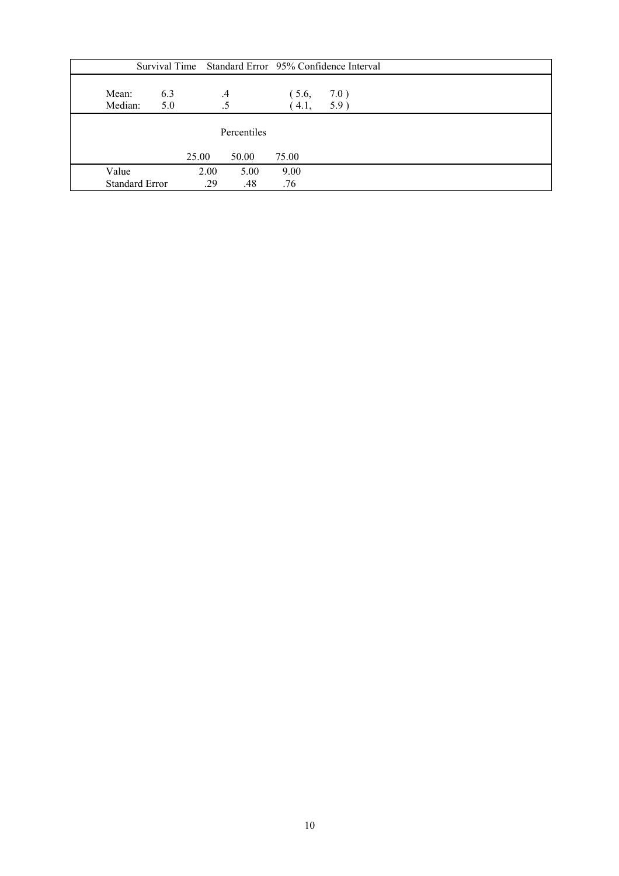|                  |                       |       |         |               | Survival Time Standard Error 95% Confidence Interval |  |  |
|------------------|-----------------------|-------|---------|---------------|------------------------------------------------------|--|--|
| Mean:<br>Median: | 6.3<br>5.0            |       | $\cdot$ | (5.6,<br>4.1. | 7.0)<br>5.9)                                         |  |  |
| Percentiles      |                       |       |         |               |                                                      |  |  |
|                  |                       | 25.00 | 50.00   | 75.00         |                                                      |  |  |
| Value            |                       | 2.00  | 5.00    | 9.00          |                                                      |  |  |
|                  | <b>Standard Error</b> | .29   | .48     | .76           |                                                      |  |  |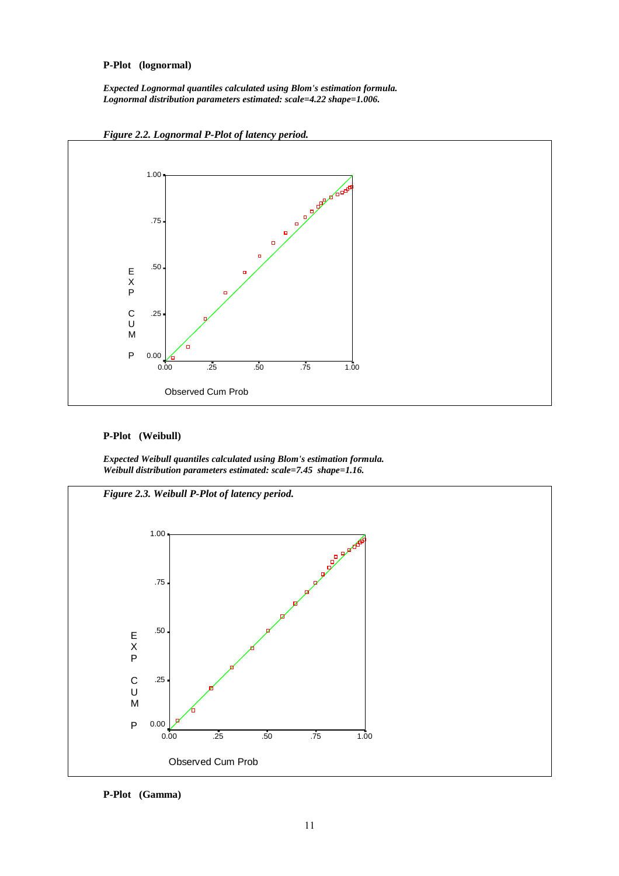# **P-Plot (lognormal)**

*Expected Lognormal quantiles calculated using Blom's estimation formula. Lognormal distribution parameters estimated: scale=4.22 shape=1.006.* 





#### **P-Plot (Weibull)**

*Expected Weibull quantiles calculated using Blom's estimation formula. Weibull distribution parameters estimated: scale=7.45 shape=1.16.* 



**P-Plot (Gamma)**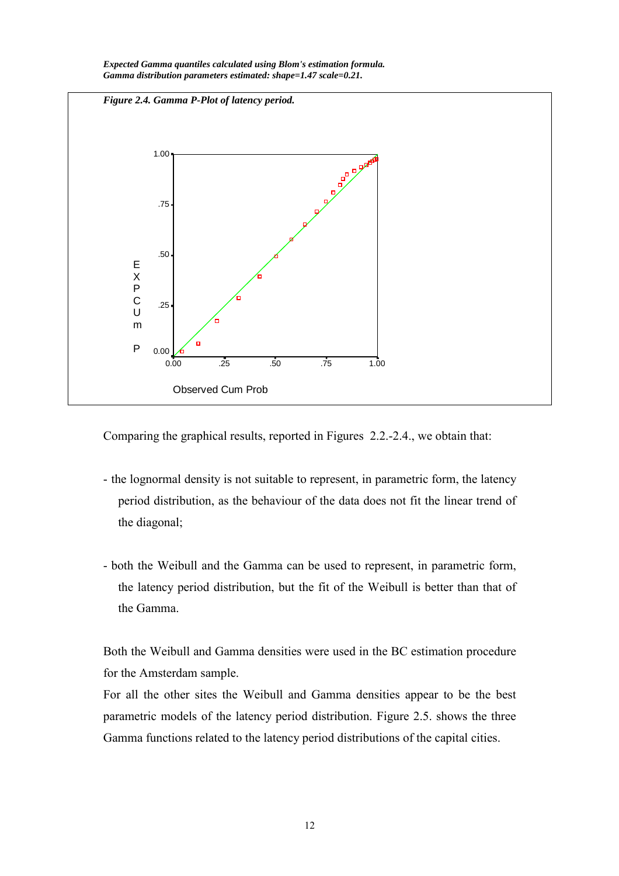

*Expected Gamma quantiles calculated using Blom's estimation formula. Gamma distribution parameters estimated: shape=1.47 scale=0.21.* 

Comparing the graphical results, reported in Figures 2.2.-2.4., we obtain that:

- the lognormal density is not suitable to represent, in parametric form, the latency period distribution, as the behaviour of the data does not fit the linear trend of the diagonal;
- both the Weibull and the Gamma can be used to represent, in parametric form, the latency period distribution, but the fit of the Weibull is better than that of the Gamma.

Both the Weibull and Gamma densities were used in the BC estimation procedure for the Amsterdam sample.

For all the other sites the Weibull and Gamma densities appear to be the best parametric models of the latency period distribution. Figure 2.5. shows the three Gamma functions related to the latency period distributions of the capital cities.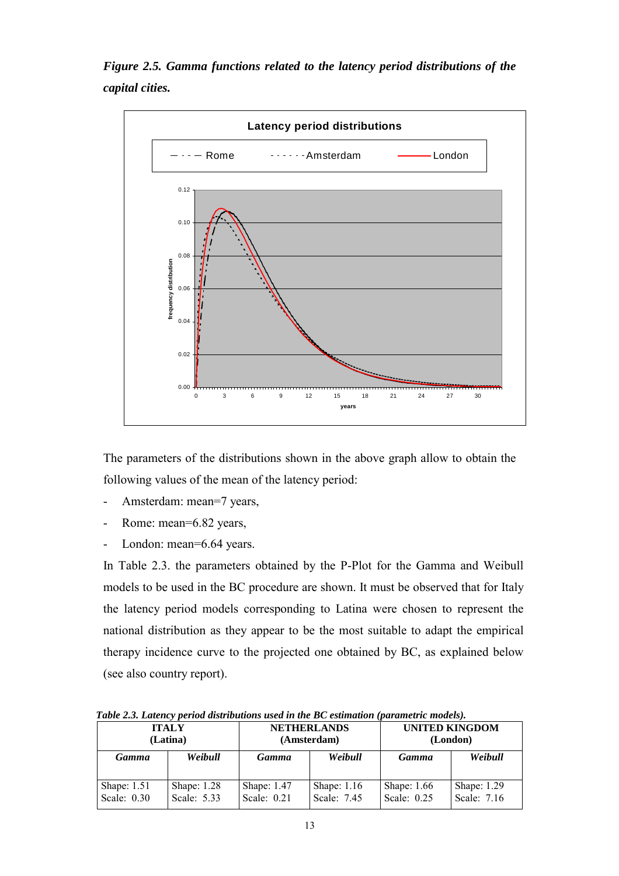*Figure 2.5. Gamma functions related to the latency period distributions of the capital cities.* 



The parameters of the distributions shown in the above graph allow to obtain the following values of the mean of the latency period:

- Amsterdam: mean=7 years,
- Rome: mean=6.82 years,
- London: mean=6.64 years.

In Table 2.3. the parameters obtained by the P-Plot for the Gamma and Weibull models to be used in the BC procedure are shown. It must be observed that for Italy the latency period models corresponding to Latina were chosen to represent the national distribution as they appear to be the most suitable to adapt the empirical therapy incidence curve to the projected one obtained by BC, as explained below (see also country report).

**ITALY (Latina) NETHERLANDS (Amsterdam) UNITED KINGDOM (London)** *Gamma Weibull Gamma Weibull Gamma Weibull*  Shape: 1.51 Scale: 0.30 Shape: 1.28 Scale: 5.33 Shape: 1.47 Scale: 0.21 Shape: 1.16 Scale: 7.45 Shape: 1.66 Scale: 0.25 Shape: 1.29 Scale: 7.16

*Table 2.3. Latency period distributions used in the BC estimation (parametric models).*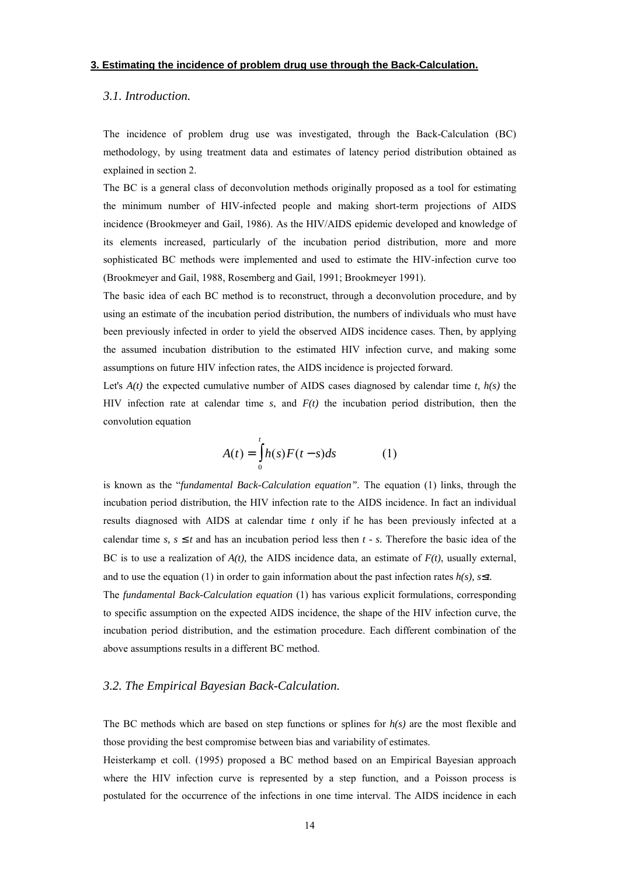#### <span id="page-14-0"></span>**3. Estimating the incidence of problem drug use through the Back-Calculation.**

## *3.1. Introduction.*

The incidence of problem drug use was investigated, through the Back-Calculation (BC) methodology, by using treatment data and estimates of latency period distribution obtained as explained in section 2.

The BC is a general class of deconvolution methods originally proposed as a tool for estimating the minimum number of HIV-infected people and making short-term projections of AIDS incidence (Brookmeyer and Gail, 1986). As the HIV/AIDS epidemic developed and knowledge of its elements increased, particularly of the incubation period distribution, more and more sophisticated BC methods were implemented and used to estimate the HIV-infection curve too (Brookmeyer and Gail, 1988, Rosemberg and Gail, 1991; Brookmeyer 1991).

The basic idea of each BC method is to reconstruct, through a deconvolution procedure, and by using an estimate of the incubation period distribution, the numbers of individuals who must have been previously infected in order to yield the observed AIDS incidence cases. Then, by applying the assumed incubation distribution to the estimated HIV infection curve, and making some assumptions on future HIV infection rates, the AIDS incidence is projected forward.

Let's  $A(t)$  the expected cumulative number of AIDS cases diagnosed by calendar time  $t$ ,  $h(s)$  the HIV infection rate at calendar time *s*, and *F(t)* the incubation period distribution, then the convolution equation

$$
A(t) = \int_{0}^{t} h(s)F(t-s)ds
$$
 (1)

is known as the *"fundamental Back-Calculation equation"*. The equation (1) links, through the incubation period distribution, the HIV infection rate to the AIDS incidence. In fact an individual results diagnosed with AIDS at calendar time *t* only if he has been previously infected at a calendar time *s*,  $s \leq t$  and has an incubation period less then  $t - s$ . Therefore the basic idea of the BC is to use a realization of  $A(t)$ , the AIDS incidence data, an estimate of  $F(t)$ , usually external, and to use the equation (1) in order to gain information about the past infection rates  $h(s)$ ,  $s\leq t$ .

The *fundamental Back-Calculation equation* (1) has various explicit formulations, corresponding to specific assumption on the expected AIDS incidence, the shape of the HIV infection curve, the incubation period distribution, and the estimation procedure. Each different combination of the above assumptions results in a different BC method.

#### *3.2. The Empirical Bayesian Back-Calculation.*

The BC methods which are based on step functions or splines for *h(s)* are the most flexible and those providing the best compromise between bias and variability of estimates.

Heisterkamp et coll. (1995) proposed a BC method based on an Empirical Bayesian approach where the HIV infection curve is represented by a step function, and a Poisson process is postulated for the occurrence of the infections in one time interval. The AIDS incidence in each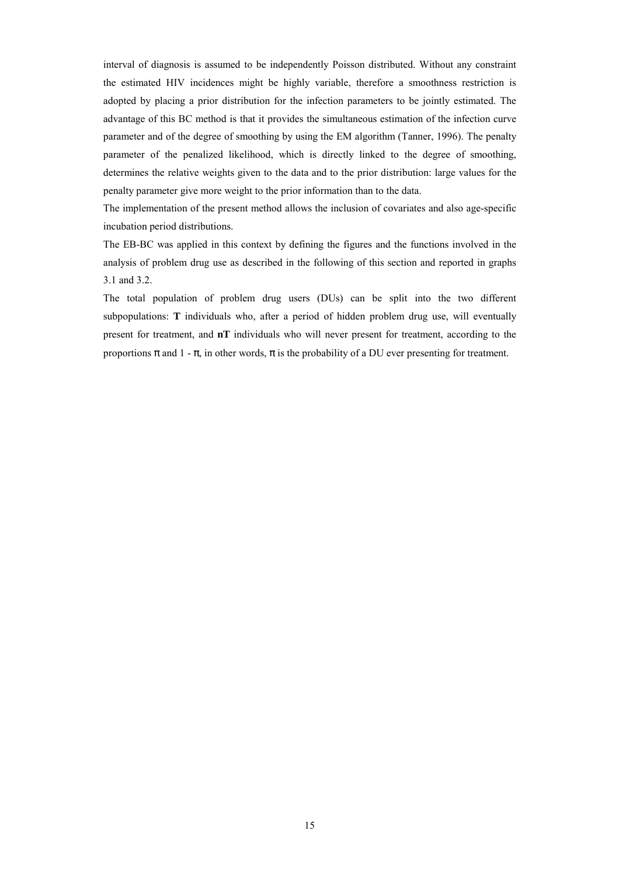interval of diagnosis is assumed to be independently Poisson distributed. Without any constraint the estimated HIV incidences might be highly variable, therefore a smoothness restriction is adopted by placing a prior distribution for the infection parameters to be jointly estimated. The advantage of this BC method is that it provides the simultaneous estimation of the infection curve parameter and of the degree of smoothing by using the EM algorithm (Tanner, 1996). The penalty parameter of the penalized likelihood, which is directly linked to the degree of smoothing, determines the relative weights given to the data and to the prior distribution: large values for the penalty parameter give more weight to the prior information than to the data.

The implementation of the present method allows the inclusion of covariates and also age-specific incubation period distributions.

The EB-BC was applied in this context by defining the figures and the functions involved in the analysis of problem drug use as described in the following of this section and reported in graphs 3.1 and 3.2.

The total population of problem drug users (DUs) can be split into the two different subpopulations: **T** individuals who, after a period of hidden problem drug use, will eventually present for treatment, and **nT** individuals who will never present for treatment, according to the proportions π and 1 - π, in other words, π is the probability of a DU ever presenting for treatment.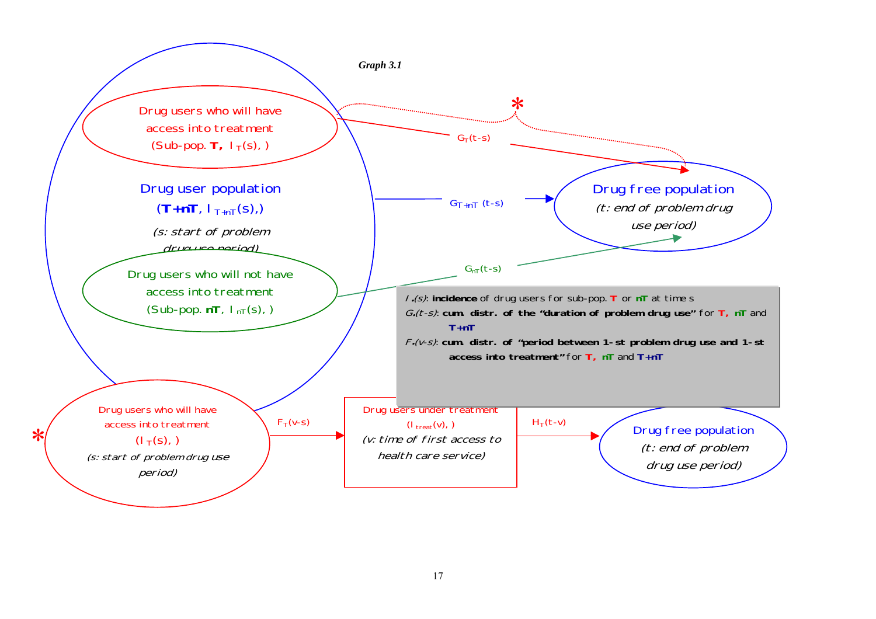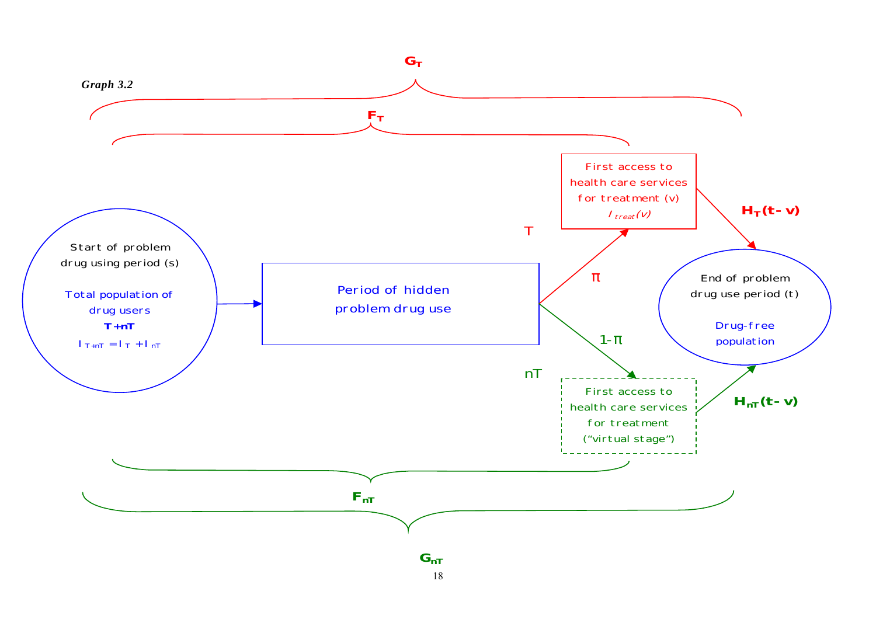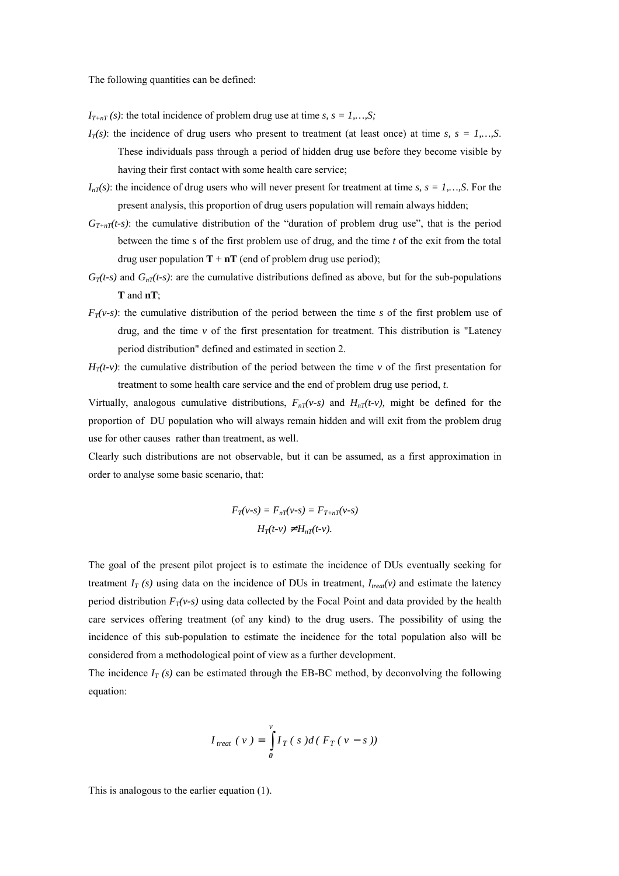The following quantities can be defined:

 $I_{T+nT}(s)$ : the total incidence of problem drug use at time *s*,  $s = 1,...,S$ ;

- $I_T(s)$ : the incidence of drug users who present to treatment (at least once) at time *s*,  $s = 1,...,S$ . These individuals pass through a period of hidden drug use before they become visible by having their first contact with some health care service;
- $I_{nT}(s)$ : the incidence of drug users who will never present for treatment at time *s*,  $s = 1,...,S$ . For the present analysis, this proportion of drug users population will remain always hidden;
- $G_{T+nT}(t-s)$ : the cumulative distribution of the "duration of problem drug use", that is the period between the time *s* of the first problem use of drug, and the time *t* of the exit from the total drug user population  $T + nT$  (end of problem drug use period);
- $G_T(t-s)$  and  $G_{nT}(t-s)$ : are the cumulative distributions defined as above, but for the sub-populations **T** and **nT**;
- $F_T(v-s)$ : the cumulative distribution of the period between the time *s* of the first problem use of drug, and the time  $\nu$  of the first presentation for treatment. This distribution is "Latency period distribution" defined and estimated in section 2.
- $H_T(t-v)$ : the cumulative distribution of the period between the time *v* of the first presentation for treatment to some health care service and the end of problem drug use period, *t*.

Virtually, analogous cumulative distributions,  $F_{nT}(v-s)$  and  $H_{nT}(t-v)$ , might be defined for the proportion of DU population who will always remain hidden and will exit from the problem drug use for other causes rather than treatment, as well.

Clearly such distributions are not observable, but it can be assumed, as a first approximation in order to analyse some basic scenario, that:

$$
F_T(v-s) = F_{nT}(v-s) = F_{T+nT}(v-s)
$$

$$
H_T(t-v) \neq H_{nT}(t-v).
$$

The goal of the present pilot project is to estimate the incidence of DUs eventually seeking for treatment  $I_T$  (s) using data on the incidence of DUs in treatment,  $I_{treat}(v)$  and estimate the latency period distribution  $F_T(v-s)$  using data collected by the Focal Point and data provided by the health care services offering treatment (of any kind) to the drug users. The possibility of using the incidence of this sub-population to estimate the incidence for the total population also will be considered from a methodological point of view as a further development.

The incidence  $I_T(s)$  can be estimated through the EB-BC method, by deconvolving the following equation:

$$
I_{\text{treat}}\left(\nu\right) = \int\limits_{0}^{\nu} I_{T}\left(\,s\,\right) d\left(\,F_{T}\left(\,\nu-s\,\right)\right)
$$

This is analogous to the earlier equation (1).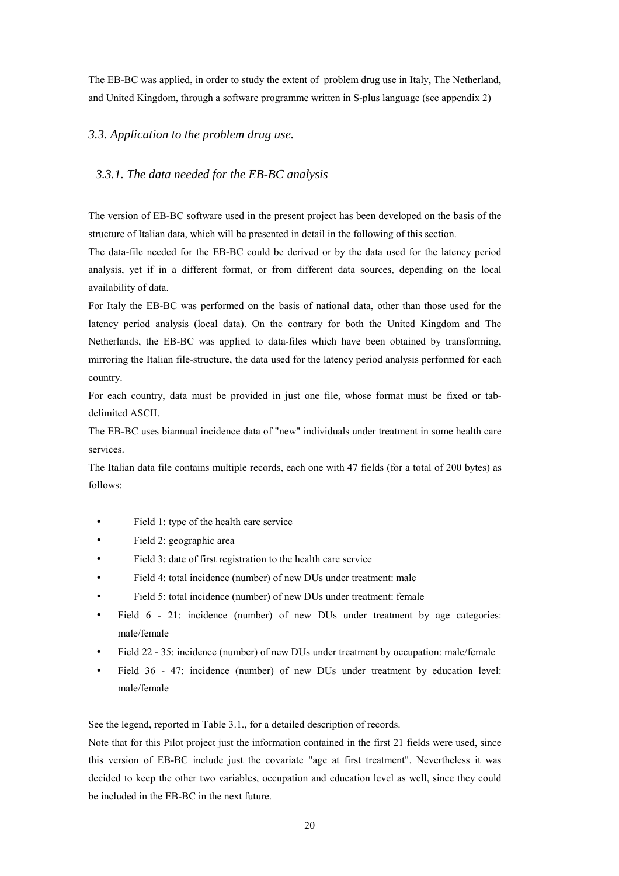<span id="page-20-0"></span>The EB-BC was applied, in order to study the extent of problem drug use in Italy, The Netherland, and United Kingdom, through a software programme written in S-plus language (see appendix 2)

# *3.3. Application to the problem drug use.*

# *3.3.1. The data needed for the EB-BC analysis*

The version of EB-BC software used in the present project has been developed on the basis of the structure of Italian data, which will be presented in detail in the following of this section.

The data-file needed for the EB-BC could be derived or by the data used for the latency period analysis, yet if in a different format, or from different data sources, depending on the local availability of data.

For Italy the EB-BC was performed on the basis of national data, other than those used for the latency period analysis (local data). On the contrary for both the United Kingdom and The Netherlands, the EB-BC was applied to data-files which have been obtained by transforming, mirroring the Italian file-structure, the data used for the latency period analysis performed for each country.

For each country, data must be provided in just one file, whose format must be fixed or tabdelimited ASCII.

The EB-BC uses biannual incidence data of "new" individuals under treatment in some health care services.

The Italian data file contains multiple records, each one with 47 fields (for a total of 200 bytes) as follows:

- Field 1: type of the health care service
- Field 2: geographic area
- Field 3: date of first registration to the health care service
- Field 4: total incidence (number) of new DUs under treatment: male
- Field 5: total incidence (number) of new DUs under treatment: female
- Field 6 21: incidence (number) of new DUs under treatment by age categories: male/female
- Field 22 35: incidence (number) of new DUs under treatment by occupation: male/female
- Field 36 47: incidence (number) of new DUs under treatment by education level: male/female

See the legend, reported in Table 3.1., for a detailed description of records.

Note that for this Pilot project just the information contained in the first 21 fields were used, since this version of EB-BC include just the covariate "age at first treatment". Nevertheless it was decided to keep the other two variables, occupation and education level as well, since they could be included in the EB-BC in the next future.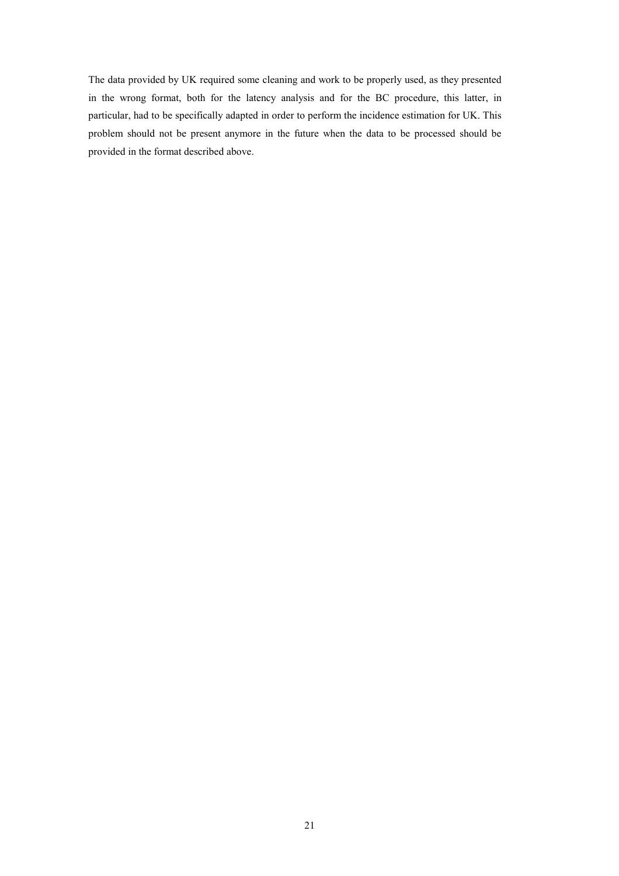The data provided by UK required some cleaning and work to be properly used, as they presented in the wrong format, both for the latency analysis and for the BC procedure, this latter, in particular, had to be specifically adapted in order to perform the incidence estimation for UK. This problem should not be present anymore in the future when the data to be processed should be provided in the format described above.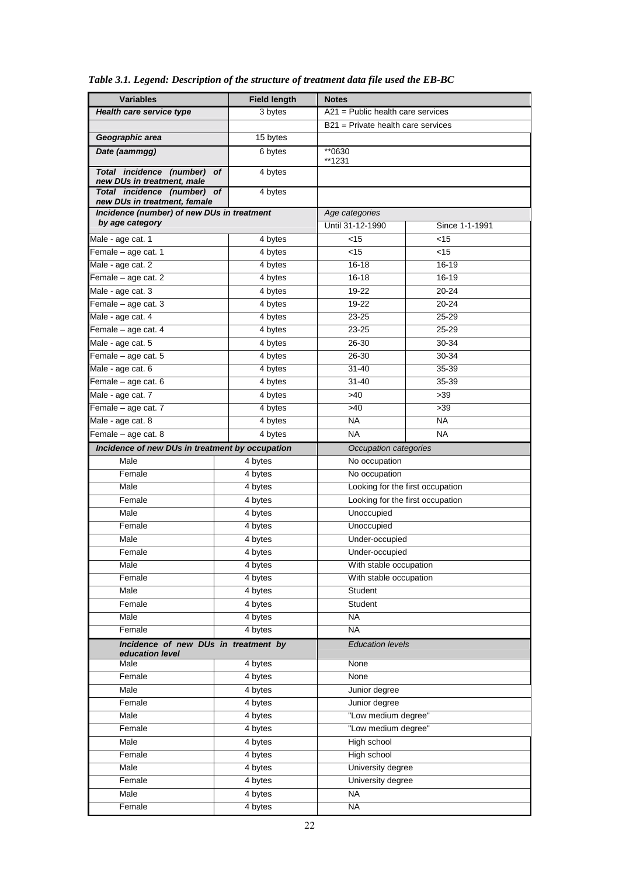| <b>Variables</b>                                              | <b>Field length</b>  | <b>Notes</b>                         |                    |  |
|---------------------------------------------------------------|----------------------|--------------------------------------|--------------------|--|
| Health care service type                                      | 3 bytes              | $A21$ = Public health care services  |                    |  |
|                                                               |                      | $B21$ = Private health care services |                    |  |
| Geographic area                                               | 15 bytes             |                                      |                    |  |
| Date (aammgg)                                                 | 6 bytes              | **0630<br>**1231                     |                    |  |
| Total incidence (number) of<br>new DUs in treatment, male     | 4 bytes              |                                      |                    |  |
| Total incidence (number) of                                   | 4 bytes              |                                      |                    |  |
| new DUs in treatment, female                                  |                      |                                      |                    |  |
| Incidence (number) of new DUs in treatment<br>by age category |                      | Age categories<br>Until 31-12-1990   | Since 1-1-1991     |  |
|                                                               |                      | < 15                                 | $<$ 15             |  |
| Male - age cat. 1<br>Female - age cat. 1                      | $\overline{4}$ bytes | $<$ 15                               | $<$ 15             |  |
|                                                               | 4 bytes              | $16 - 18$                            | 16-19              |  |
| Male - age cat. 2                                             | 4 bytes              |                                      |                    |  |
| Female - age cat. 2                                           | 4 bytes              | $16 - 18$                            | 16-19              |  |
| Male - age cat. 3                                             | 4 bytes              | 19-22<br>19-22                       | 20-24<br>$20 - 24$ |  |
| Female - age cat. 3                                           | 4 bytes              |                                      |                    |  |
| Male - age cat. 4                                             | 4 bytes              | $23 - 25$                            | 25-29<br>25-29     |  |
| Female - age cat. 4                                           | 4 bytes              | $23 - 25$                            |                    |  |
| Male - age cat. 5                                             | 4 bytes              | 26-30                                | 30-34              |  |
| Female - age cat. 5                                           | 4 bytes              | 26-30                                | 30-34              |  |
| Male - age cat. 6                                             | 4 bytes              | $31 - 40$                            | 35-39              |  |
| Female - age cat. 6                                           | 4 bytes              | $31 - 40$                            | 35-39              |  |
| Male - age cat. 7                                             | 4 bytes              | $>40$                                | $>39$              |  |
| Female - age cat. 7                                           | 4 bytes              | $>40$                                | >39                |  |
| Male - age cat. 8                                             | $\overline{4}$ bytes | <b>NA</b>                            | <b>NA</b>          |  |
| Female - age cat. 8                                           | 4 bytes              | <b>NA</b>                            | <b>NA</b>          |  |
| Incidence of new DUs in treatment by occupation               |                      | Occupation categories                |                    |  |
| Male                                                          | 4 bytes              | No occupation                        |                    |  |
| Female                                                        | 4 bytes              | No occupation                        |                    |  |
| Male                                                          | 4 bytes              | Looking for the first occupation     |                    |  |
| Female                                                        | 4 bytes              | Looking for the first occupation     |                    |  |
| Male                                                          | 4 bytes              | Unoccupied                           |                    |  |
| Female                                                        | 4 bytes              | Unoccupied                           |                    |  |
| Male                                                          | 4 bytes              | Under-occupied                       |                    |  |
| Female                                                        | 4 bytes              | Under-occupied                       |                    |  |
| Male                                                          | 4 bytes              | With stable occupation               |                    |  |
| Female                                                        | 4 bytes              | With stable occupation               |                    |  |
| Male                                                          | 4 bytes              | Student                              |                    |  |
| Female                                                        | 4 bytes              | Student                              |                    |  |
| Male                                                          | 4 bytes              | <b>NA</b>                            |                    |  |
| Female                                                        | 4 bytes              | <b>NA</b>                            |                    |  |
| Incidence of new DUs in treatment by<br>education level       |                      | <b>Education levels</b>              |                    |  |
| Male                                                          | 4 bytes              | None                                 |                    |  |
| Female                                                        | 4 bytes              | None                                 |                    |  |
| Male                                                          | 4 bytes              | Junior degree                        |                    |  |
| Female                                                        | 4 bytes              | Junior degree                        |                    |  |
| Male                                                          | 4 bytes              | "Low medium degree"                  |                    |  |
| Female                                                        | 4 bytes              | "Low medium degree"                  |                    |  |
| Male                                                          | 4 bytes              | High school                          |                    |  |
| Female                                                        | 4 bytes              | High school                          |                    |  |
| Male                                                          | 4 bytes              | University degree                    |                    |  |
| Female                                                        | 4 bytes              | University degree                    |                    |  |
| Male                                                          | 4 bytes              | <b>NA</b>                            |                    |  |
| Female                                                        | 4 bytes              | <b>NA</b>                            |                    |  |

*Table 3.1. Legend: Description of the structure of treatment data file used the EB-BC*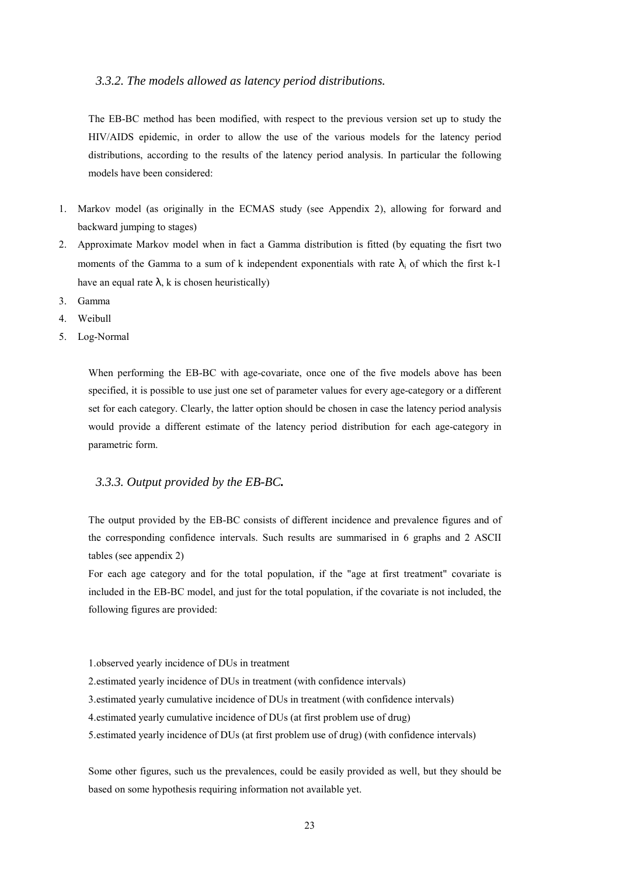#### <span id="page-23-0"></span>*3.3.2. The models allowed as latency period distributions.*

The EB-BC method has been modified, with respect to the previous version set up to study the HIV/AIDS epidemic, in order to allow the use of the various models for the latency period distributions, according to the results of the latency period analysis. In particular the following models have been considered:

- 1. Markov model (as originally in the ECMAS study (see Appendix 2), allowing for forward and backward jumping to stages)
- 2. Approximate Markov model when in fact a Gamma distribution is fitted (by equating the fisrt two moments of the Gamma to a sum of k independent exponentials with rate  $\lambda_i$  of which the first k-1 have an equal rate  $\lambda$ , k is chosen heuristically)
- 3. Gamma
- 4. Weibull
- 5. Log-Normal

When performing the EB-BC with age-covariate, once one of the five models above has been specified, it is possible to use just one set of parameter values for every age-category or a different set for each category. Clearly, the latter option should be chosen in case the latency period analysis would provide a different estimate of the latency period distribution for each age-category in parametric form.

#### *3.3.3. Output provided by the EB-BC.*

The output provided by the EB-BC consists of different incidence and prevalence figures and of the corresponding confidence intervals. Such results are summarised in 6 graphs and 2 ASCII tables (see appendix 2)

For each age category and for the total population, if the "age at first treatment" covariate is included in the EB-BC model, and just for the total population, if the covariate is not included, the following figures are provided:

1. observed yearly incidence of DUs in treatment

- 2. estimated yearly incidence of DUs in treatment (with confidence intervals)
- 3. estimated yearly cumulative incidence of DUs in treatment (with confidence intervals)
- 4. estimated yearly cumulative incidence of DUs (at first problem use of drug)
- 5. estimated yearly incidence of DUs (at first problem use of drug) (with confidence intervals)

Some other figures, such us the prevalences, could be easily provided as well, but they should be based on some hypothesis requiring information not available yet.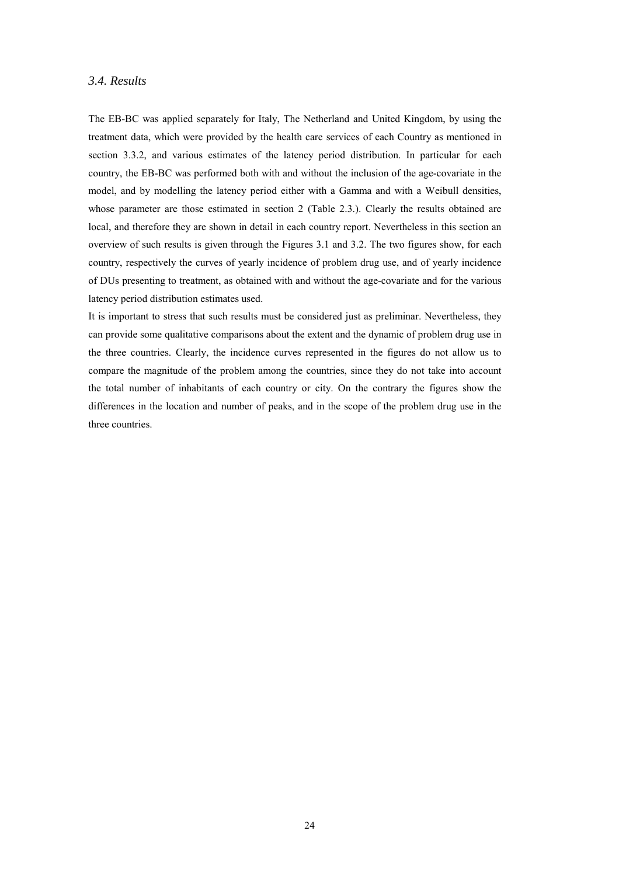# <span id="page-24-0"></span>*3.4. Results*

The EB-BC was applied separately for Italy, The Netherland and United Kingdom, by using the treatment data, which were provided by the health care services of each Country as mentioned in section 3.3.2, and various estimates of the latency period distribution. In particular for each country, the EB-BC was performed both with and without the inclusion of the age-covariate in the model, and by modelling the latency period either with a Gamma and with a Weibull densities, whose parameter are those estimated in section 2 (Table 2.3.). Clearly the results obtained are local, and therefore they are shown in detail in each country report. Nevertheless in this section an overview of such results is given through the Figures 3.1 and 3.2. The two figures show, for each country, respectively the curves of yearly incidence of problem drug use, and of yearly incidence of DUs presenting to treatment, as obtained with and without the age-covariate and for the various latency period distribution estimates used.

It is important to stress that such results must be considered just as preliminar. Nevertheless, they can provide some qualitative comparisons about the extent and the dynamic of problem drug use in the three countries. Clearly, the incidence curves represented in the figures do not allow us to compare the magnitude of the problem among the countries, since they do not take into account the total number of inhabitants of each country or city. On the contrary the figures show the differences in the location and number of peaks, and in the scope of the problem drug use in the three countries.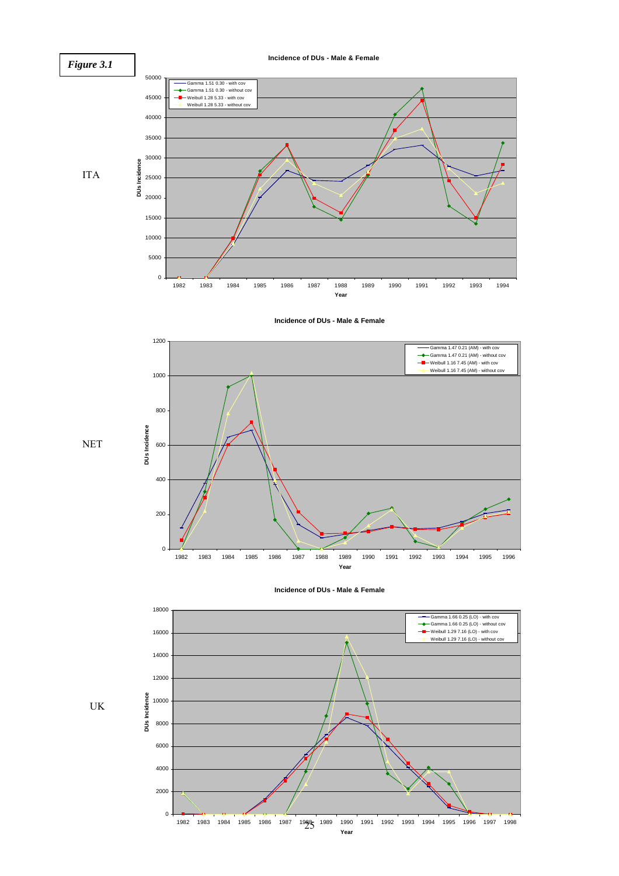

**Incidence of DUs - Male & Female**









UK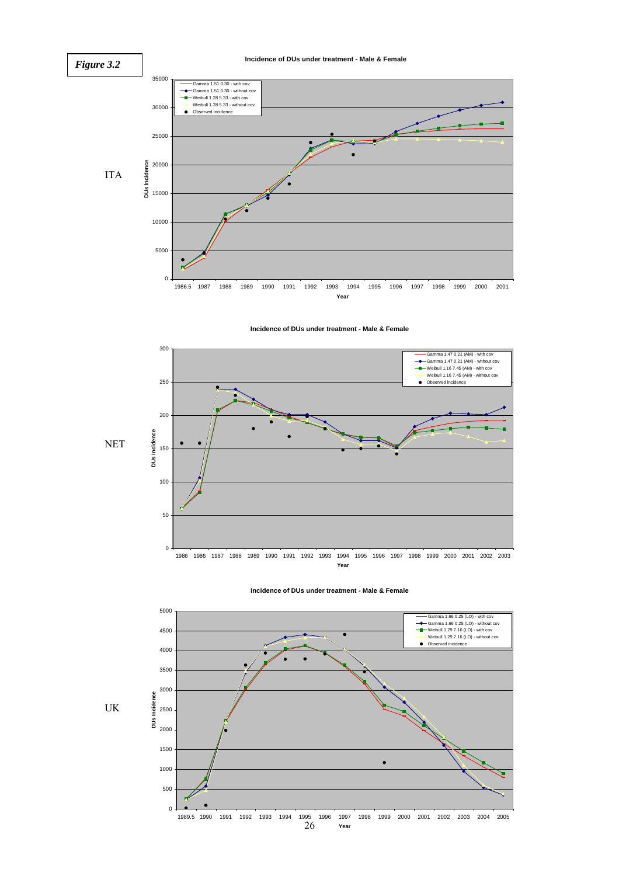#### *Figure 3.2*

#### **Incidence of DUs under treatment - Male & Female**



**Incidence of DUs under treatment - Male & Female**



**Incidence of DUs under treatment - Male & Female**



UK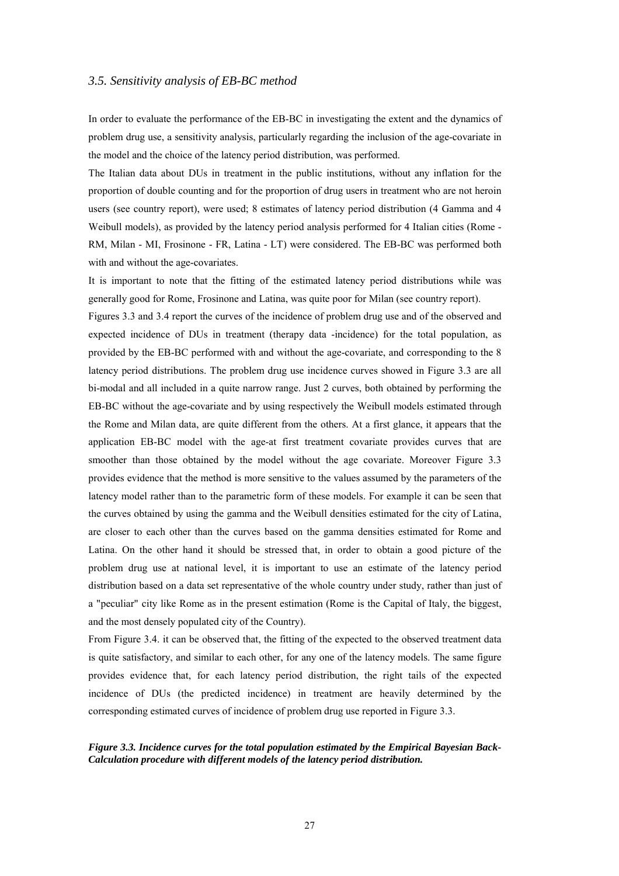#### <span id="page-27-0"></span>*3.5. Sensitivity analysis of EB-BC method*

In order to evaluate the performance of the EB-BC in investigating the extent and the dynamics of problem drug use, a sensitivity analysis, particularly regarding the inclusion of the age-covariate in the model and the choice of the latency period distribution, was performed.

The Italian data about DUs in treatment in the public institutions, without any inflation for the proportion of double counting and for the proportion of drug users in treatment who are not heroin users (see country report), were used; 8 estimates of latency period distribution (4 Gamma and 4 Weibull models), as provided by the latency period analysis performed for 4 Italian cities (Rome - RM, Milan - MI, Frosinone - FR, Latina - LT) were considered. The EB-BC was performed both with and without the age-covariates.

It is important to note that the fitting of the estimated latency period distributions while was generally good for Rome, Frosinone and Latina, was quite poor for Milan (see country report).

Figures 3.3 and 3.4 report the curves of the incidence of problem drug use and of the observed and expected incidence of DUs in treatment (therapy data -incidence) for the total population, as provided by the EB-BC performed with and without the age-covariate, and corresponding to the 8 latency period distributions. The problem drug use incidence curves showed in Figure 3.3 are all bi-modal and all included in a quite narrow range. Just 2 curves, both obtained by performing the EB-BC without the age-covariate and by using respectively the Weibull models estimated through the Rome and Milan data, are quite different from the others. At a first glance, it appears that the application EB-BC model with the age-at first treatment covariate provides curves that are smoother than those obtained by the model without the age covariate. Moreover Figure 3.3 provides evidence that the method is more sensitive to the values assumed by the parameters of the latency model rather than to the parametric form of these models. For example it can be seen that the curves obtained by using the gamma and the Weibull densities estimated for the city of Latina, are closer to each other than the curves based on the gamma densities estimated for Rome and Latina. On the other hand it should be stressed that, in order to obtain a good picture of the problem drug use at national level, it is important to use an estimate of the latency period distribution based on a data set representative of the whole country under study, rather than just of a "peculiar" city like Rome as in the present estimation (Rome is the Capital of Italy, the biggest, and the most densely populated city of the Country).

From Figure 3.4. it can be observed that, the fitting of the expected to the observed treatment data is quite satisfactory, and similar to each other, for any one of the latency models. The same figure provides evidence that, for each latency period distribution, the right tails of the expected incidence of DUs (the predicted incidence) in treatment are heavily determined by the corresponding estimated curves of incidence of problem drug use reported in Figure 3.3.

#### *Figure 3.3. Incidence curves for the total population estimated by the Empirical Bayesian Back-Calculation procedure with different models of the latency period distribution.*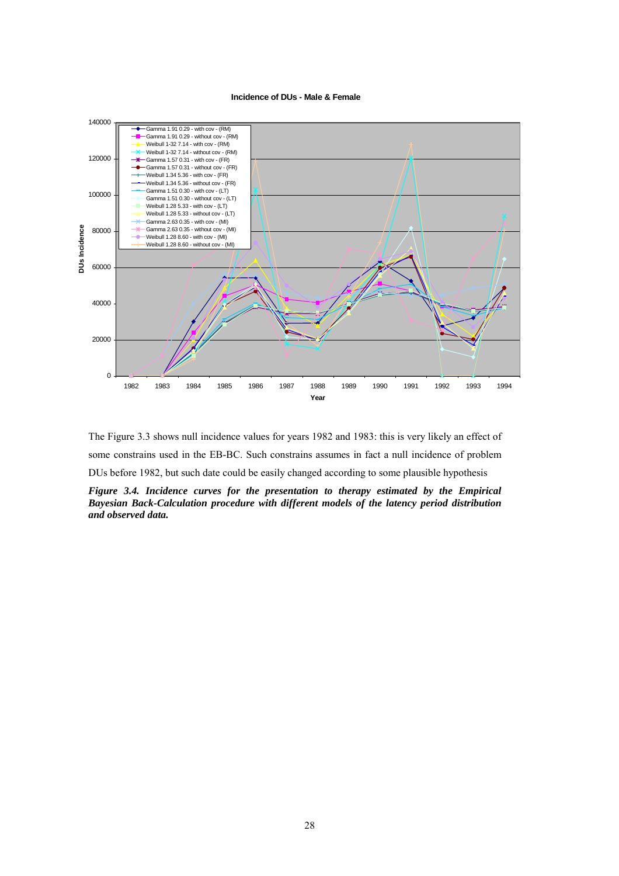**Incidence of DUs - Male & Female**



The Figure 3.3 shows null incidence values for years 1982 and 1983: this is very likely an effect of some constrains used in the EB-BC. Such constrains assumes in fact a null incidence of problem DUs before 1982, but such date could be easily changed according to some plausible hypothesis *Figure 3.4. Incidence curves for the presentation to therapy estimated by the Empirical Bayesian Back-Calculation procedure with different models of the latency period distribution and observed data.*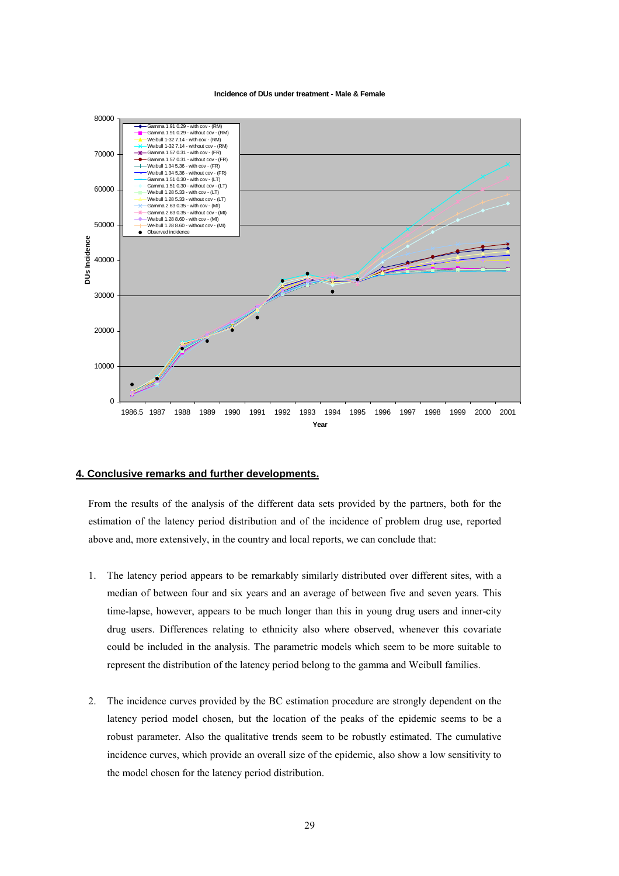**Incidence of DUs under treatment - Male & Female**

<span id="page-29-0"></span>

### **4. Conclusive remarks and further developments.**

From the results of the analysis of the different data sets provided by the partners, both for the estimation of the latency period distribution and of the incidence of problem drug use, reported above and, more extensively, in the country and local reports, we can conclude that:

- 1. The latency period appears to be remarkably similarly distributed over different sites, with a median of between four and six years and an average of between five and seven years. This time-lapse, however, appears to be much longer than this in young drug users and inner-city drug users. Differences relating to ethnicity also where observed, whenever this covariate could be included in the analysis. The parametric models which seem to be more suitable to represent the distribution of the latency period belong to the gamma and Weibull families.
- 2. The incidence curves provided by the BC estimation procedure are strongly dependent on the latency period model chosen, but the location of the peaks of the epidemic seems to be a robust parameter. Also the qualitative trends seem to be robustly estimated. The cumulative incidence curves, which provide an overall size of the epidemic, also show a low sensitivity to the model chosen for the latency period distribution.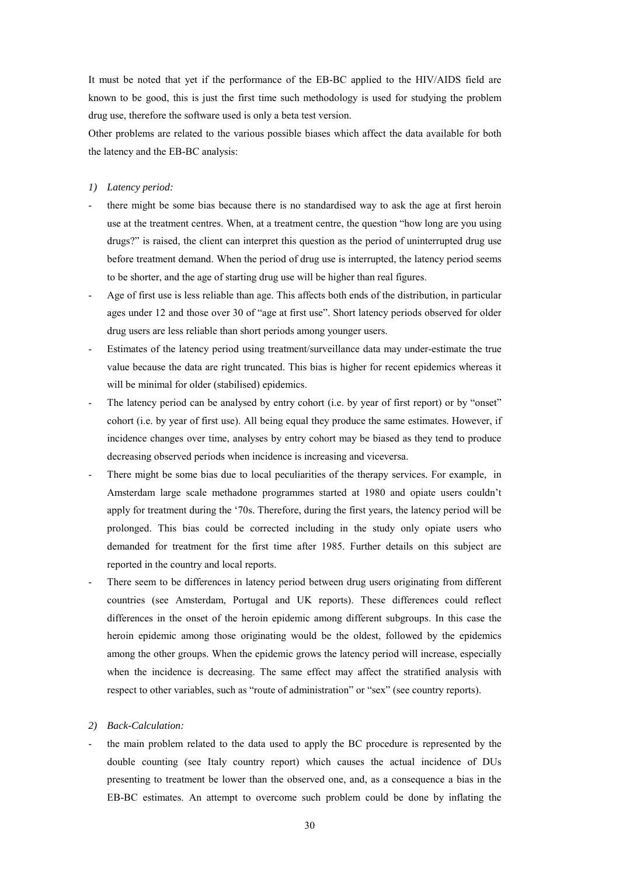It must be noted that yet if the performance of the EB-BC applied to the HIV/AIDS field are known to be good, this is just the first time such methodology is used for studying the problem drug use, therefore the software used is only a beta test version.

Other problems are related to the various possible biases which affect the data available for both the latency and the EB-BC analysis:

- *1) Latency period:*
- there might be some bias because there is no standardised way to ask the age at first heroin use at the treatment centres. When, at a treatment centre, the question "how long are you using drugs?" is raised, the client can interpret this question as the period of uninterrupted drug use before treatment demand. When the period of drug use is interrupted, the latency period seems to be shorter, and the age of starting drug use will be higher than real figures.
- Age of first use is less reliable than age. This affects both ends of the distribution, in particular ages under 12 and those over 30 of "age at first use". Short latency periods observed for older drug users are less reliable than short periods among younger users.
- Estimates of the latency period using treatment/surveillance data may under-estimate the true value because the data are right truncated. This bias is higher for recent epidemics whereas it will be minimal for older (stabilised) epidemics.
- The latency period can be analysed by entry cohort (i.e. by year of first report) or by "onset" cohort (i.e. by year of first use). All being equal they produce the same estimates. However, if incidence changes over time, analyses by entry cohort may be biased as they tend to produce decreasing observed periods when incidence is increasing and viceversa.
- There might be some bias due to local peculiarities of the therapy services. For example, in Amsterdam large scale methadone programmes started at 1980 and opiate users couldn't apply for treatment during the ë70s. Therefore, during the first years, the latency period will be prolonged. This bias could be corrected including in the study only opiate users who demanded for treatment for the first time after 1985. Further details on this subject are reported in the country and local reports.
- There seem to be differences in latency period between drug users originating from different countries (see Amsterdam, Portugal and UK reports). These differences could reflect differences in the onset of the heroin epidemic among different subgroups. In this case the heroin epidemic among those originating would be the oldest, followed by the epidemics among the other groups. When the epidemic grows the latency period will increase, especially when the incidence is decreasing. The same effect may affect the stratified analysis with respect to other variables, such as "route of administration" or "sex" (see country reports).

#### *2) Back-Calculation:*

- the main problem related to the data used to apply the BC procedure is represented by the double counting (see Italy country report) which causes the actual incidence of DUs presenting to treatment be lower than the observed one, and, as a consequence a bias in the EB-BC estimates. An attempt to overcome such problem could be done by inflating the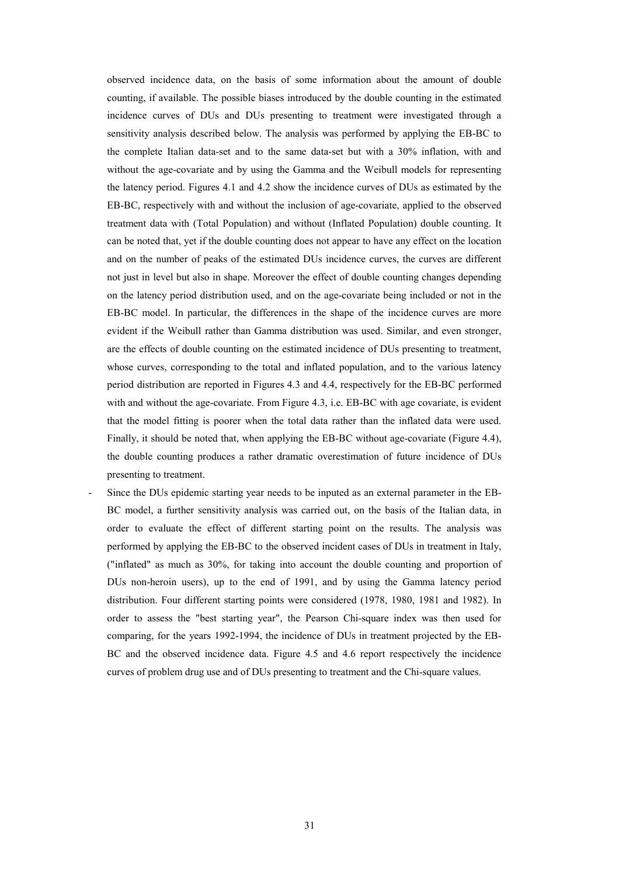observed incidence data, on the basis of some information about the amount of double counting, if available. The possible biases introduced by the double counting in the estimated incidence curves of DUs and DUs presenting to treatment were investigated through a sensitivity analysis described below. The analysis was performed by applying the EB-BC to the complete Italian data-set and to the same data-set but with a 30% inflation, with and without the age-covariate and by using the Gamma and the Weibull models for representing the latency period. Figures 4.1 and 4.2 show the incidence curves of DUs as estimated by the EB-BC, respectively with and without the inclusion of age-covariate, applied to the observed treatment data with (Total Population) and without (Inflated Population) double counting. It can be noted that, yet if the double counting does not appear to have any effect on the location and on the number of peaks of the estimated DUs incidence curves, the curves are different not just in level but also in shape. Moreover the effect of double counting changes depending on the latency period distribution used, and on the age-covariate being included or not in the EB-BC model. In particular, the differences in the shape of the incidence curves are more evident if the Weibull rather than Gamma distribution was used. Similar, and even stronger, are the effects of double counting on the estimated incidence of DUs presenting to treatment, whose curves, corresponding to the total and inflated population, and to the various latency period distribution are reported in Figures 4.3 and 4.4, respectively for the EB-BC performed with and without the age-covariate. From Figure 4.3, i.e. EB-BC with age covariate, is evident that the model fitting is poorer when the total data rather than the inflated data were used. Finally, it should be noted that, when applying the EB-BC without age-covariate (Figure 4.4), the double counting produces a rather dramatic overestimation of future incidence of DUs presenting to treatment.

Since the DUs epidemic starting year needs to be inputed as an external parameter in the EB-BC model, a further sensitivity analysis was carried out, on the basis of the Italian data, in order to evaluate the effect of different starting point on the results. The analysis was performed by applying the EB-BC to the observed incident cases of DUs in treatment in Italy, ("inflated" as much as 30%, for taking into account the double counting and proportion of DUs non-heroin users), up to the end of 1991, and by using the Gamma latency period distribution. Four different starting points were considered (1978, 1980, 1981 and 1982). In order to assess the "best starting year", the Pearson Chi-square index was then used for comparing, for the years 1992-1994, the incidence of DUs in treatment projected by the EB-BC and the observed incidence data. Figure 4.5 and 4.6 report respectively the incidence curves of problem drug use and of DUs presenting to treatment and the Chi-square values.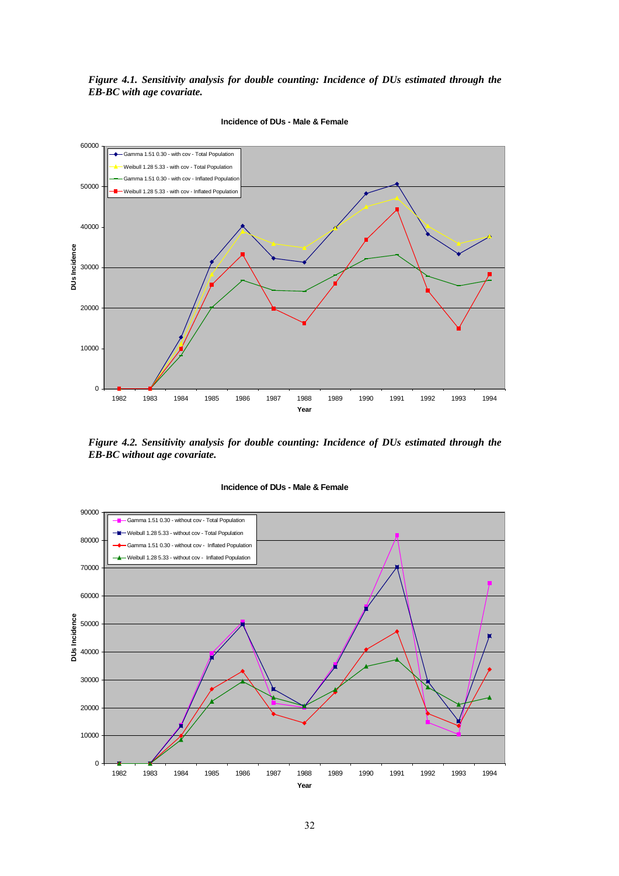*Figure 4.1. Sensitivity analysis for double counting: Incidence of DUs estimated through the EB-BC with age covariate.* 



**Incidence of DUs - Male & Female**

*Figure 4.2. Sensitivity analysis for double counting: Incidence of DUs estimated through the EB-BC without age covariate.* 



**Incidence of DUs - Male & Female**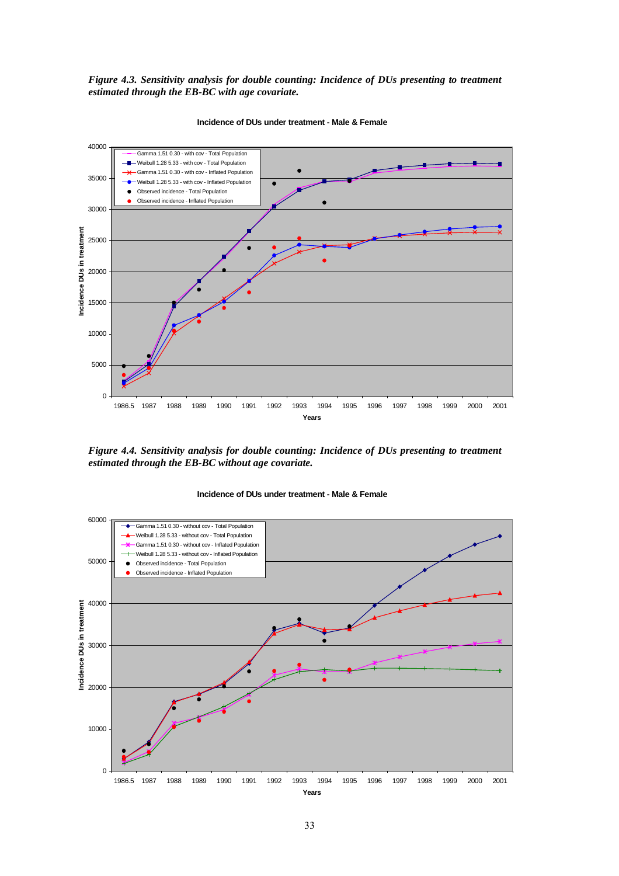*Figure 4.3. Sensitivity analysis for double counting: Incidence of DUs presenting to treatment estimated through the EB-BC with age covariate.* 



**Incidence of DUs under treatment - Male & Female**

*Figure 4.4. Sensitivity analysis for double counting: Incidence of DUs presenting to treatment estimated through the EB-BC without age covariate.* 

**Incidence of DUs under treatment - Male & Female**

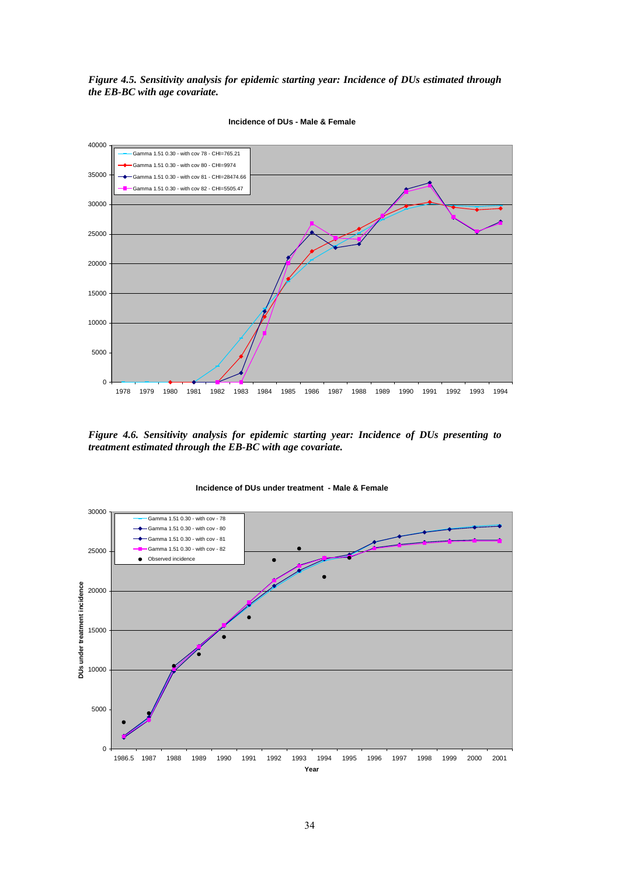*Figure 4.5. Sensitivity analysis for epidemic starting year: Incidence of DUs estimated through the EB-BC with age covariate.* 



**Incidence of DUs - Male & Female**

*Figure 4.6. Sensitivity analysis for epidemic starting year: Incidence of DUs presenting to treatment estimated through the EB-BC with age covariate.* 



**Incidence of DUs under treatment - Male & Female**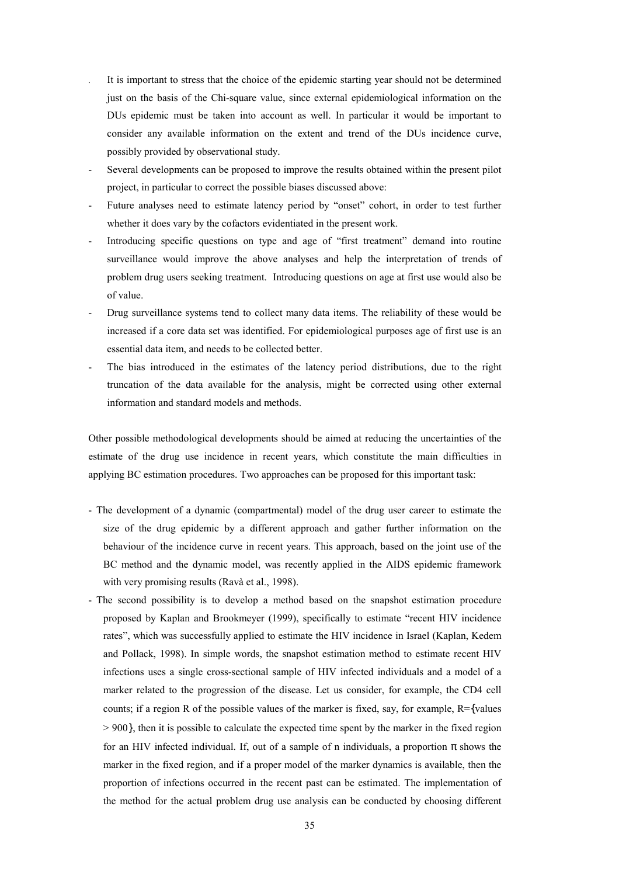- . It is important to stress that the choice of the epidemic starting year should not be determined just on the basis of the Chi-square value, since external epidemiological information on the DUs epidemic must be taken into account as well. In particular it would be important to consider any available information on the extent and trend of the DUs incidence curve, possibly provided by observational study.
- Several developments can be proposed to improve the results obtained within the present pilot project, in particular to correct the possible biases discussed above:
- Future analyses need to estimate latency period by "onset" cohort, in order to test further whether it does vary by the cofactors evidentiated in the present work.
- Introducing specific questions on type and age of "first treatment" demand into routine surveillance would improve the above analyses and help the interpretation of trends of problem drug users seeking treatment. Introducing questions on age at first use would also be of value.
- Drug surveillance systems tend to collect many data items. The reliability of these would be increased if a core data set was identified. For epidemiological purposes age of first use is an essential data item, and needs to be collected better.
- The bias introduced in the estimates of the latency period distributions, due to the right truncation of the data available for the analysis, might be corrected using other external information and standard models and methods.

Other possible methodological developments should be aimed at reducing the uncertainties of the estimate of the drug use incidence in recent years, which constitute the main difficulties in applying BC estimation procedures. Two approaches can be proposed for this important task:

- The development of a dynamic (compartmental) model of the drug user career to estimate the size of the drug epidemic by a different approach and gather further information on the behaviour of the incidence curve in recent years. This approach, based on the joint use of the BC method and the dynamic model, was recently applied in the AIDS epidemic framework with very promising results (Ravà et al., 1998).
- The second possibility is to develop a method based on the snapshot estimation procedure proposed by Kaplan and Brookmeyer (1999), specifically to estimate "recent HIV incidence ratesî, which was successfully applied to estimate the HIV incidence in Israel (Kaplan, Kedem and Pollack, 1998). In simple words, the snapshot estimation method to estimate recent HIV infections uses a single cross-sectional sample of HIV infected individuals and a model of a marker related to the progression of the disease. Let us consider, for example, the CD4 cell counts; if a region R of the possible values of the marker is fixed, say, for example, R={values > 900}, then it is possible to calculate the expected time spent by the marker in the fixed region for an HIV infected individual. If, out of a sample of n individuals, a proportion  $\pi$  shows the marker in the fixed region, and if a proper model of the marker dynamics is available, then the proportion of infections occurred in the recent past can be estimated. The implementation of the method for the actual problem drug use analysis can be conducted by choosing different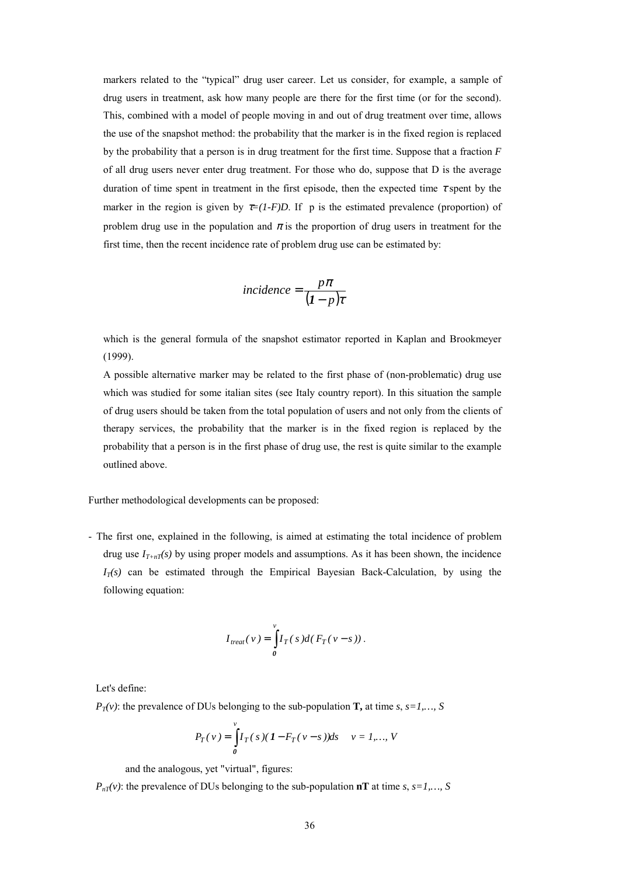markers related to the "typical" drug user career. Let us consider, for example, a sample of drug users in treatment, ask how many people are there for the first time (or for the second). This, combined with a model of people moving in and out of drug treatment over time, allows the use of the snapshot method: the probability that the marker is in the fixed region is replaced by the probability that a person is in drug treatment for the first time. Suppose that a fraction *F* of all drug users never enter drug treatment. For those who do, suppose that D is the average duration of time spent in treatment in the first episode, then the expected time  $\tau$  spent by the marker in the region is given by  $\tau=(1-F)D$ . If p is the estimated prevalence (proportion) of problem drug use in the population and  $\pi$  is the proportion of drug users in treatment for the first time, then the recent incidence rate of problem drug use can be estimated by:

$$
incidence = \frac{p\pi}{(I - p)\tau}
$$

which is the general formula of the snapshot estimator reported in Kaplan and Brookmeyer (1999).

A possible alternative marker may be related to the first phase of (non-problematic) drug use which was studied for some italian sites (see Italy country report). In this situation the sample of drug users should be taken from the total population of users and not only from the clients of therapy services, the probability that the marker is in the fixed region is replaced by the probability that a person is in the first phase of drug use, the rest is quite similar to the example outlined above.

Further methodological developments can be proposed:

- The first one, explained in the following, is aimed at estimating the total incidence of problem drug use  $I_{T+nT}(s)$  by using proper models and assumptions. As it has been shown, the incidence  $I_T(s)$  can be estimated through the Empirical Bayesian Back-Calculation, by using the following equation:

$$
I_{\text{treat}}(\nu) = \int_{0}^{\nu} I_T(s) d(F_T(\nu - s)).
$$

Let's define:

 $P_T(v)$ : the prevalence of DUs belonging to the sub-population **T**, at time *s*, *s*=1,..., *S* 

$$
P_T(v) = \int_0^v I_T(s) (1 - F_T(v - s)) ds \quad v = 1,..., V
$$

and the analogous, yet "virtual", figures:

 $P_{nT}(v)$ : the prevalence of DUs belonging to the sub-population **nT** at time *s*, *s*=1,..., *S*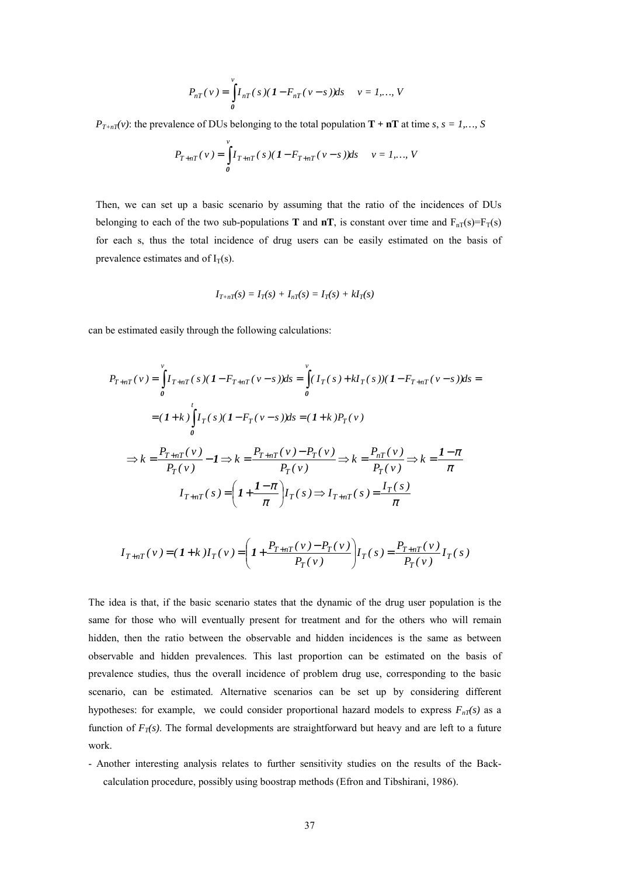$$
P_{nT}(v) = \int_{0}^{v} I_{nT}(s) (1 - F_{nT}(v - s)) ds \quad v = 1,..., V
$$

*P<sub>T+nT</sub>(v)*: the prevalence of DUs belonging to the total population **T** + **nT** at time *s*, *s* = *1*,…, *S* 

$$
P_{T+nT}(v) = \int_{0}^{v} I_{T+nT}(s) (1 - F_{T+nT}(v - s)) ds \quad v = 1,..., V
$$

Then, we can set up a basic scenario by assuming that the ratio of the incidences of DUs belonging to each of the two sub-populations **T** and  $nT$ , is constant over time and  $F_{nT}(s)=F_T(s)$ for each s, thus the total incidence of drug users can be easily estimated on the basis of prevalence estimates and of  $I_T(s)$ .

$$
I_{T+nT}(s) = I_T(s) + I_{nT}(s) = I_T(s) + kI_T(s)
$$

can be estimated easily through the following calculations:

$$
P_{T+nT}(v) = \int_{0}^{v} I_{T+nT}(s)(1 - F_{T+nT}(v - s))ds = \int_{0}^{v} (I_{T}(s) + kI_{T}(s))(1 - F_{T+nT}(v - s))ds =
$$
  

$$
= (1 + k) \int_{0}^{t} I_{T}(s)(1 - F_{T}(v - s))ds = (1 + k)P_{T}(v)
$$
  

$$
\Rightarrow k = \frac{P_{T+nT}(v)}{P_{T}(v)} - 1 \Rightarrow k = \frac{P_{T+nT}(v) - P_{T}(v)}{P_{T}(v)} \Rightarrow k = \frac{P_{nT}(v)}{P_{T}(v)} \Rightarrow k = \frac{1 - \pi}{\pi}
$$
  

$$
I_{T+nT}(s) = \left(1 + \frac{1 - \pi}{\pi}\right)I_{T}(s) \Rightarrow I_{T+nT}(s) = \frac{I_{T}(s)}{\pi}
$$

$$
I_{T+nT}(v) = (1+k)I_T(v) = \left(1 + \frac{P_{T+nT}(v) - P_T(v)}{P_T(v)}\right)I_T(s) = \frac{P_{T+nT}(v)}{P_T(v)}I_T(s)
$$

The idea is that, if the basic scenario states that the dynamic of the drug user population is the same for those who will eventually present for treatment and for the others who will remain hidden, then the ratio between the observable and hidden incidences is the same as between observable and hidden prevalences. This last proportion can be estimated on the basis of prevalence studies, thus the overall incidence of problem drug use, corresponding to the basic scenario, can be estimated. Alternative scenarios can be set up by considering different hypotheses: for example, we could consider proportional hazard models to express  $F_{nT}(s)$  as a function of  $F_T(s)$ . The formal developments are straightforward but heavy and are left to a future work.

- Another interesting analysis relates to further sensitivity studies on the results of the Backcalculation procedure, possibly using boostrap methods (Efron and Tibshirani, 1986).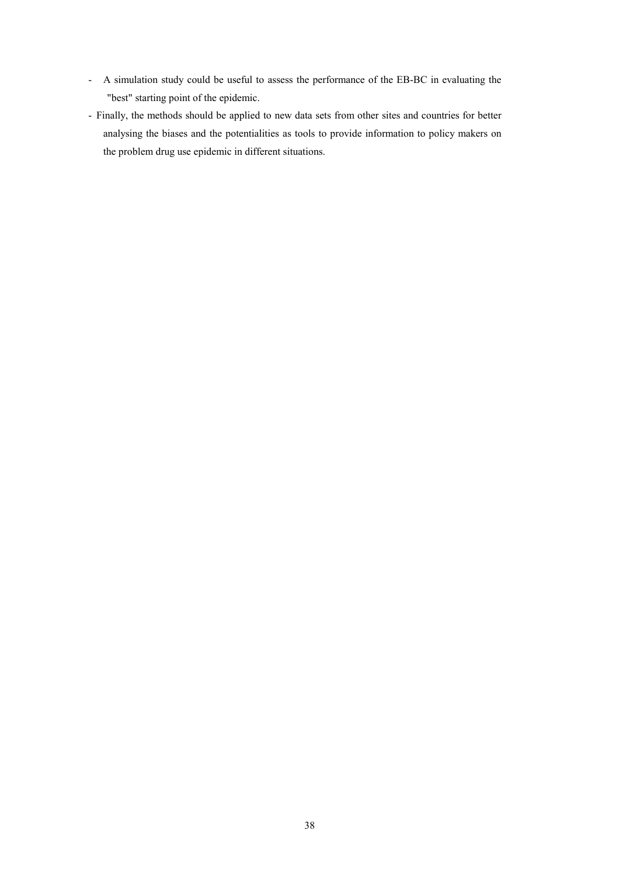- A simulation study could be useful to assess the performance of the EB-BC in evaluating the "best" starting point of the epidemic.
- Finally, the methods should be applied to new data sets from other sites and countries for better analysing the biases and the potentialities as tools to provide information to policy makers on the problem drug use epidemic in different situations.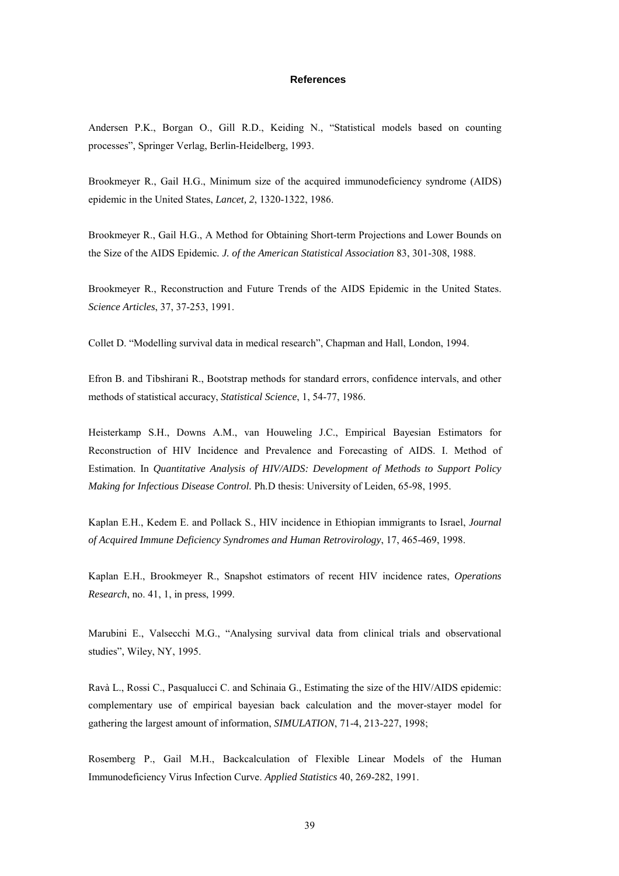#### **References**

<span id="page-39-0"></span>Andersen P.K., Borgan O., Gill R.D., Keiding N., "Statistical models based on counting processesî, Springer Verlag, Berlin-Heidelberg, 1993.

Brookmeyer R., Gail H.G., Minimum size of the acquired immunodeficiency syndrome (AIDS) epidemic in the United States, *Lancet, 2*, 1320-1322, 1986.

Brookmeyer R., Gail H.G., A Method for Obtaining Short-term Projections and Lower Bounds on the Size of the AIDS Epidemic*. J. of the American Statistical Association* 83, 301-308, 1988.

Brookmeyer R., Reconstruction and Future Trends of the AIDS Epidemic in the United States. *Science Articles*, 37, 37-253, 1991.

Collet D. "Modelling survival data in medical research", Chapman and Hall, London, 1994.

Efron B. and Tibshirani R., Bootstrap methods for standard errors, confidence intervals, and other methods of statistical accuracy, *Statistical Science*, 1, 54-77, 1986.

Heisterkamp S.H., Downs A.M., van Houweling J.C., Empirical Bayesian Estimators for Reconstruction of HIV Incidence and Prevalence and Forecasting of AIDS. I. Method of Estimation. In *Quantitative Analysis of HIV/AIDS: Development of Methods to Support Policy Making for Infectious Disease Control.* Ph.D thesis: University of Leiden, 65-98, 1995.

Kaplan E.H., Kedem E. and Pollack S., HIV incidence in Ethiopian immigrants to Israel, *Journal of Acquired Immune Deficiency Syndromes and Human Retrovirology*, 17, 465-469, 1998.

Kaplan E.H., Brookmeyer R., Snapshot estimators of recent HIV incidence rates, *Operations Research*, no. 41, 1, in press, 1999.

Marubini E., Valsecchi M.G., "Analysing survival data from clinical trials and observational studies", Wiley, NY, 1995.

Ravà L., Rossi C., Pasqualucci C. and Schinaia G., Estimating the size of the HIV/AIDS epidemic: complementary use of empirical bayesian back calculation and the mover-stayer model for gathering the largest amount of information, *SIMULATION*, 71-4, 213-227, 1998;

Rosemberg P., Gail M.H., Backcalculation of Flexible Linear Models of the Human Immunodeficiency Virus Infection Curve. *Applied Statistics* 40, 269-282, 1991.